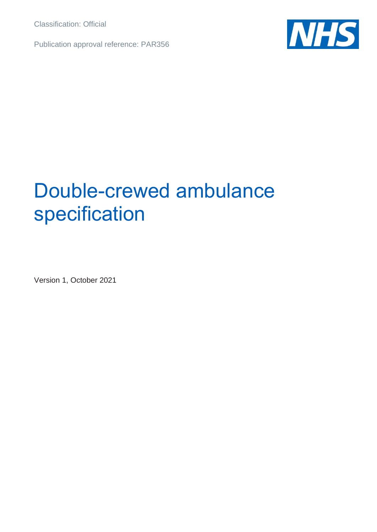Classification: Official

Publication approval reference: PAR356



## Double-crewed ambulance specification

Version 1, October 2021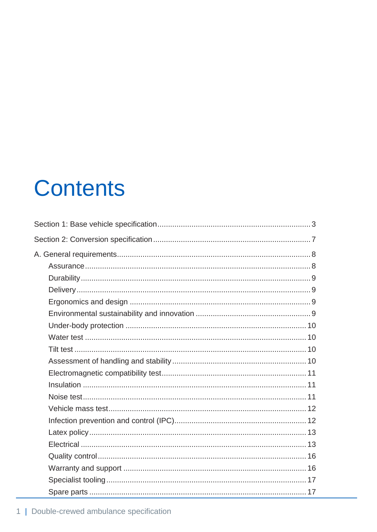# **Contents**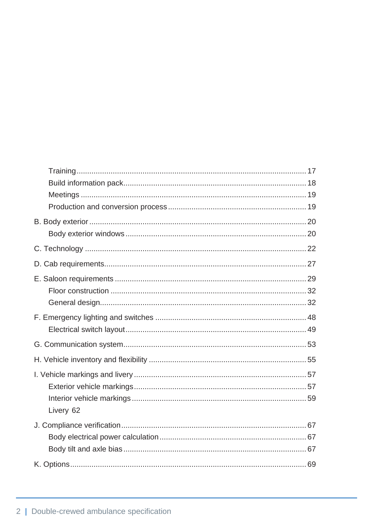| Livery 62 |  |
|-----------|--|
|           |  |
|           |  |
|           |  |
|           |  |
|           |  |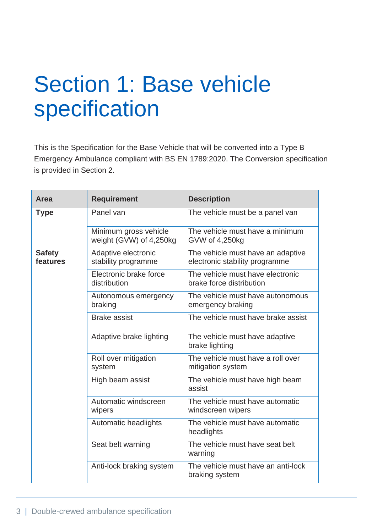# <span id="page-3-0"></span>Section 1: Base vehicle specification

This is the Specification for the Base Vehicle that will be converted into a Type B Emergency Ambulance compliant with BS EN 1789:2020. The Conversion specification is provided in Section 2.

| Area                      | <b>Requirement</b>                               | <b>Description</b>                                                  |
|---------------------------|--------------------------------------------------|---------------------------------------------------------------------|
| <b>Type</b>               | Panel van                                        | The vehicle must be a panel van                                     |
|                           | Minimum gross vehicle<br>weight (GVW) of 4,250kg | The vehicle must have a minimum<br>GVW of 4,250kg                   |
| <b>Safety</b><br>features | Adaptive electronic<br>stability programme       | The vehicle must have an adaptive<br>electronic stability programme |
|                           | Electronic brake force<br>distribution           | The vehicle must have electronic<br>brake force distribution        |
|                           | Autonomous emergency<br>braking                  | The vehicle must have autonomous<br>emergency braking               |
|                           | <b>Brake assist</b>                              | The vehicle must have brake assist                                  |
|                           | Adaptive brake lighting                          | The vehicle must have adaptive<br>brake lighting                    |
|                           | Roll over mitigation<br>system                   | The vehicle must have a roll over<br>mitigation system              |
|                           | High beam assist                                 | The vehicle must have high beam<br>assist                           |
|                           | Automatic windscreen<br>wipers                   | The vehicle must have automatic<br>windscreen wipers                |
|                           | Automatic headlights                             | The vehicle must have automatic<br>headlights                       |
|                           | Seat belt warning                                | The vehicle must have seat belt<br>warning                          |
|                           | Anti-lock braking system                         | The vehicle must have an anti-lock<br>braking system                |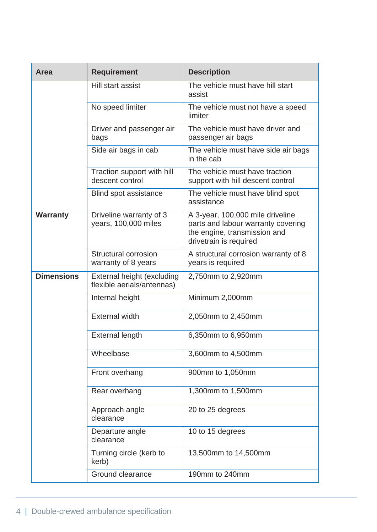| <b>Area</b>       | <b>Requirement</b>                                       | <b>Description</b>                                                                                                               |
|-------------------|----------------------------------------------------------|----------------------------------------------------------------------------------------------------------------------------------|
|                   | Hill start assist                                        | The vehicle must have hill start<br>assist                                                                                       |
|                   | No speed limiter                                         | The vehicle must not have a speed<br>limiter                                                                                     |
|                   | Driver and passenger air<br>bags                         | The vehicle must have driver and<br>passenger air bags                                                                           |
|                   | Side air bags in cab                                     | The vehicle must have side air bags<br>in the cab                                                                                |
|                   | Traction support with hill<br>descent control            | The vehicle must have traction<br>support with hill descent control                                                              |
|                   | Blind spot assistance                                    | The vehicle must have blind spot<br>assistance                                                                                   |
| <b>Warranty</b>   | Driveline warranty of 3<br>years, 100,000 miles          | A 3-year, 100,000 mile driveline<br>parts and labour warranty covering<br>the engine, transmission and<br>drivetrain is required |
|                   | Structural corrosion<br>warranty of 8 years              | A structural corrosion warranty of 8<br>years is required                                                                        |
| <b>Dimensions</b> | External height (excluding<br>flexible aerials/antennas) | 2,750mm to 2,920mm                                                                                                               |
|                   | Internal height                                          | Minimum 2,000mm                                                                                                                  |
|                   | <b>External width</b>                                    | 2,050mm to 2,450mm                                                                                                               |
|                   | <b>External length</b>                                   | 6,350mm to 6,950mm                                                                                                               |
|                   | Wheelbase                                                | 3,600mm to 4,500mm                                                                                                               |
|                   | Front overhang                                           | 900mm to 1,050mm                                                                                                                 |
|                   | Rear overhang                                            | 1,300mm to 1,500mm                                                                                                               |
|                   | Approach angle<br>clearance                              | 20 to 25 degrees                                                                                                                 |
|                   | Departure angle<br>clearance                             | 10 to 15 degrees                                                                                                                 |
|                   | Turning circle (kerb to<br>kerb)                         | 13,500mm to 14,500mm                                                                                                             |
|                   | Ground clearance                                         | 190mm to 240mm                                                                                                                   |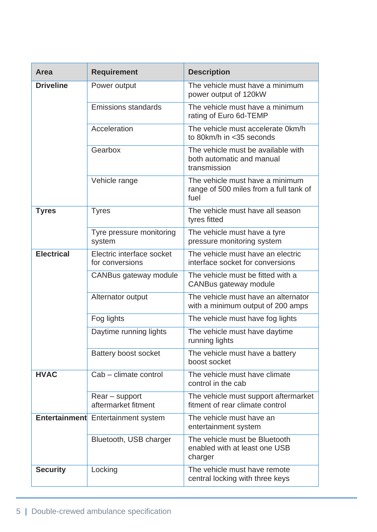| Area                 | <b>Requirement</b>                           | <b>Description</b>                                                                |
|----------------------|----------------------------------------------|-----------------------------------------------------------------------------------|
| <b>Driveline</b>     | Power output                                 | The vehicle must have a minimum<br>power output of 120kW                          |
|                      | <b>Emissions standards</b>                   | The vehicle must have a minimum<br>rating of Euro 6d-TEMP                         |
|                      | Acceleration                                 | The vehicle must accelerate 0km/h<br>to 80km/h in <35 seconds                     |
|                      | Gearbox                                      | The vehicle must be available with<br>both automatic and manual<br>transmission   |
|                      | Vehicle range                                | The vehicle must have a minimum<br>range of 500 miles from a full tank of<br>fuel |
| <b>Tyres</b>         | <b>Tyres</b>                                 | The vehicle must have all season<br>tyres fitted                                  |
|                      | Tyre pressure monitoring<br>system           | The vehicle must have a tyre<br>pressure monitoring system                        |
| <b>Electrical</b>    | Electric interface socket<br>for conversions | The vehicle must have an electric<br>interface socket for conversions             |
|                      | CANBus gateway module                        | The vehicle must be fitted with a<br>CANBus gateway module                        |
|                      | Alternator output                            | The vehicle must have an alternator<br>with a minimum output of 200 amps          |
|                      | Fog lights                                   | The vehicle must have fog lights                                                  |
|                      | Daytime running lights                       | The vehicle must have daytime<br>running lights                                   |
|                      | Battery boost socket                         | The vehicle must have a battery<br>boost socket                                   |
| <b>HVAC</b>          | Cab - climate control                        | The vehicle must have climate<br>control in the cab                               |
|                      | $Rear$ – support<br>aftermarket fitment      | The vehicle must support aftermarket<br>fitment of rear climate control           |
| <b>Entertainment</b> | <b>Entertainment system</b>                  | The vehicle must have an<br>entertainment system                                  |
|                      | Bluetooth, USB charger                       | The vehicle must be Bluetooth<br>enabled with at least one USB<br>charger         |
| <b>Security</b>      | Locking                                      | The vehicle must have remote<br>central locking with three keys                   |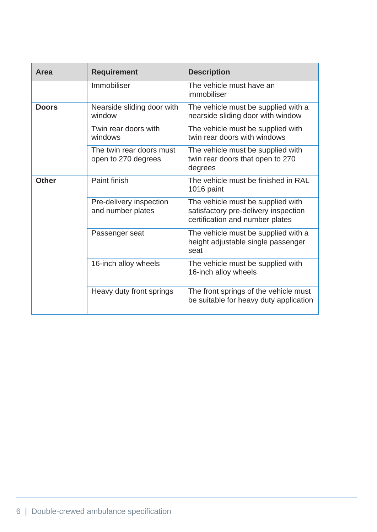| Area         | <b>Requirement</b>                              | <b>Description</b>                                                                                           |
|--------------|-------------------------------------------------|--------------------------------------------------------------------------------------------------------------|
|              | Immobiliser                                     | The vehicle must have an<br>immobiliser                                                                      |
| <b>Doors</b> | Nearside sliding door with<br>window            | The vehicle must be supplied with a<br>nearside sliding door with window                                     |
|              | Twin rear doors with<br>windows                 | The vehicle must be supplied with<br>twin rear doors with windows                                            |
|              | The twin rear doors must<br>open to 270 degrees | The vehicle must be supplied with<br>twin rear doors that open to 270<br>degrees                             |
| <b>Other</b> | Paint finish                                    | The vehicle must be finished in RAL<br>1016 paint                                                            |
|              | Pre-delivery inspection<br>and number plates    | The vehicle must be supplied with<br>satisfactory pre-delivery inspection<br>certification and number plates |
|              | Passenger seat                                  | The vehicle must be supplied with a<br>height adjustable single passenger<br>seat                            |
|              | 16-inch alloy wheels                            | The vehicle must be supplied with<br>16-inch alloy wheels                                                    |
|              | Heavy duty front springs                        | The front springs of the vehicle must<br>be suitable for heavy duty application                              |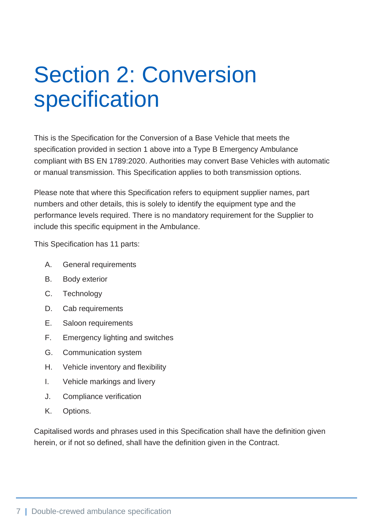# <span id="page-7-0"></span>Section 2: Conversion specification

This is the Specification for the Conversion of a Base Vehicle that meets the specification provided in section 1 above into a Type B Emergency Ambulance compliant with BS EN 1789:2020. Authorities may convert Base Vehicles with automatic or manual transmission. This Specification applies to both transmission options.

Please note that where this Specification refers to equipment supplier names, part numbers and other details, this is solely to identify the equipment type and the performance levels required. There is no mandatory requirement for the Supplier to include this specific equipment in the Ambulance.

This Specification has 11 parts:

- A. General requirements
- B. Body exterior
- C. Technology
- D. Cab requirements
- E. Saloon requirements
- F. Emergency lighting and switches
- G. Communication system
- H. Vehicle inventory and flexibility
- I. Vehicle markings and livery
- J. Compliance verification
- K. Options.

Capitalised words and phrases used in this Specification shall have the definition given herein, or if not so defined, shall have the definition given in the Contract.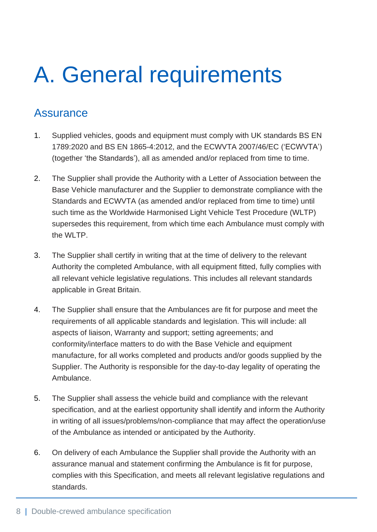# <span id="page-8-0"></span>A. General requirements

#### <span id="page-8-1"></span>**Assurance**

- 1. Supplied vehicles, goods and equipment must comply with UK standards BS EN 1789:2020 and BS EN 1865-4:2012, and the ECWVTA 2007/46/EC ('ECWVTA') (together 'the Standards'), all as amended and/or replaced from time to time.
- 2. The Supplier shall provide the Authority with a Letter of Association between the Base Vehicle manufacturer and the Supplier to demonstrate compliance with the Standards and ECWVTA (as amended and/or replaced from time to time) until such time as the Worldwide Harmonised Light Vehicle Test Procedure (WLTP) supersedes this requirement, from which time each Ambulance must comply with the WLTP.
- 3. The Supplier shall certify in writing that at the time of delivery to the relevant Authority the completed Ambulance, with all equipment fitted, fully complies with all relevant vehicle legislative regulations. This includes all relevant standards applicable in Great Britain.
- 4. The Supplier shall ensure that the Ambulances are fit for purpose and meet the requirements of all applicable standards and legislation. This will include: all aspects of liaison, Warranty and support; setting agreements; and conformity/interface matters to do with the Base Vehicle and equipment manufacture, for all works completed and products and/or goods supplied by the Supplier. The Authority is responsible for the day-to-day legality of operating the Ambulance.
- 5. The Supplier shall assess the vehicle build and compliance with the relevant specification, and at the earliest opportunity shall identify and inform the Authority in writing of all issues/problems/non-compliance that may affect the operation/use of the Ambulance as intended or anticipated by the Authority.
- 6. On delivery of each Ambulance the Supplier shall provide the Authority with an assurance manual and statement confirming the Ambulance is fit for purpose, complies with this Specification, and meets all relevant legislative regulations and standards.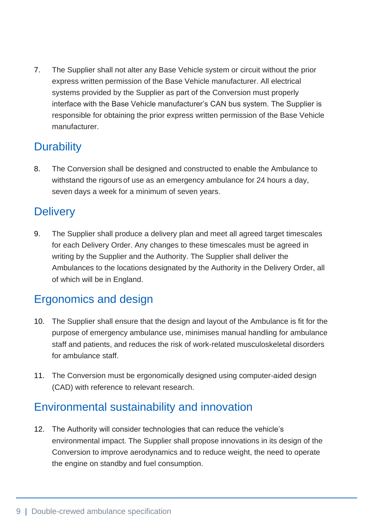7. The Supplier shall not alter any Base Vehicle system or circuit without the prior express written permission of the Base Vehicle manufacturer. All electrical systems provided by the Supplier as part of the Conversion must properly interface with the Base Vehicle manufacturer's CAN bus system. The Supplier is responsible for obtaining the prior express written permission of the Base Vehicle manufacturer.

### <span id="page-9-0"></span>**Durability**

8. The Conversion shall be designed and constructed to enable the Ambulance to withstand the rigours of use as an emergency ambulance for 24 hours a day, seven days a week for a minimum of seven years.

### <span id="page-9-1"></span>**Delivery**

9. The Supplier shall produce a delivery plan and meet all agreed target timescales for each Delivery Order. Any changes to these timescales must be agreed in writing by the Supplier and the Authority. The Supplier shall deliver the Ambulances to the locations designated by the Authority in the Delivery Order, all of which will be in England.

## <span id="page-9-2"></span>Ergonomics and design

- 10. The Supplier shall ensure that the design and layout of the Ambulance is fit for the purpose of emergency ambulance use, minimises manual handling for ambulance staff and patients, and reduces the risk of work-related musculoskeletal disorders for ambulance staff.
- 11. The Conversion must be ergonomically designed using computer-aided design (CAD) with reference to relevant research.

### <span id="page-9-3"></span>Environmental sustainability and innovation

12. The Authority will consider technologies that can reduce the vehicle's environmental impact. The Supplier shall propose innovations in its design of the Conversion to improve aerodynamics and to reduce weight, the need to operate the engine on standby and fuel consumption.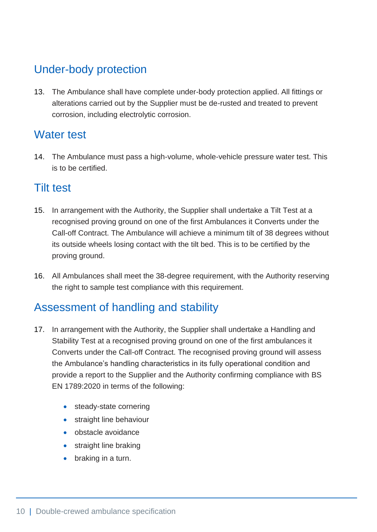### <span id="page-10-0"></span>Under-body protection

13. The Ambulance shall have complete under-body protection applied. All fittings or alterations carried out by the Supplier must be de-rusted and treated to prevent corrosion, including electrolytic corrosion.

#### <span id="page-10-1"></span>Water test

14. The Ambulance must pass a high-volume, whole-vehicle pressure water test. This is to be certified.

#### <span id="page-10-2"></span>Tilt test

- 15. In arrangement with the Authority, the Supplier shall undertake a Tilt Test at a recognised proving ground on one of the first Ambulances it Converts under the Call-off Contract. The Ambulance will achieve a minimum tilt of 38 degrees without its outside wheels losing contact with the tilt bed. This is to be certified by the proving ground.
- 16. All Ambulances shall meet the 38-degree requirement, with the Authority reserving the right to sample test compliance with this requirement.

### <span id="page-10-3"></span>Assessment of handling and stability

- 17. In arrangement with the Authority, the Supplier shall undertake a Handling and Stability Test at a recognised proving ground on one of the first ambulances it Converts under the Call-off Contract. The recognised proving ground will assess the Ambulance's handling characteristics in its fully operational condition and provide a report to the Supplier and the Authority confirming compliance with BS EN 1789:2020 in terms of the following:
	- steady-state cornering
	- straight line behaviour
	- obstacle avoidance
	- straight line braking
	- braking in a turn.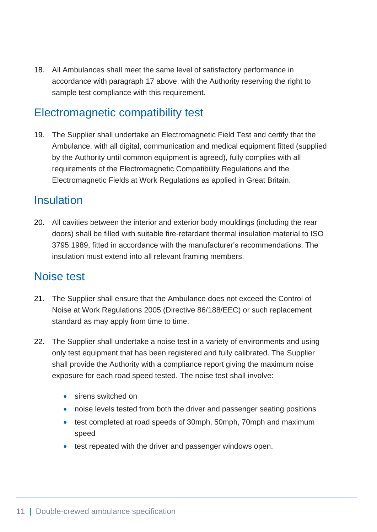18. All Ambulances shall meet the same level of satisfactory performance in accordance with paragraph 17 above, with the Authority reserving the right to sample test compliance with this requirement.

#### <span id="page-11-0"></span>Electromagnetic compatibility test

19. The Supplier shall undertake an Electromagnetic Field Test and certify that the Ambulance, with all digital, communication and medical equipment fitted (supplied by the Authority until common equipment is agreed), fully complies with all requirements of the Electromagnetic Compatibility Regulations and the Electromagnetic Fields at Work Regulations as applied in Great Britain.

#### <span id="page-11-1"></span>Insulation

20. All cavities between the interior and exterior body mouldings (including the rear doors) shall be filled with suitable fire-retardant thermal insulation material to ISO 3795:1989, fitted in accordance with the manufacturer's recommendations. The insulation must extend into all relevant framing members.

#### <span id="page-11-2"></span>Noise test

- 21. The Supplier shall ensure that the Ambulance does not exceed the Control of Noise at Work Regulations 2005 (Directive 86/188/EEC) or such replacement standard as may apply from time to time.
- 22. The Supplier shall undertake a noise test in a variety of environments and using only test equipment that has been registered and fully calibrated. The Supplier shall provide the Authority with a compliance report giving the maximum noise exposure for each road speed tested. The noise test shall involve:
	- sirens switched on
	- noise levels tested from both the driver and passenger seating positions
	- test completed at road speeds of 30mph, 50mph, 70mph and maximum speed
	- test repeated with the driver and passenger windows open.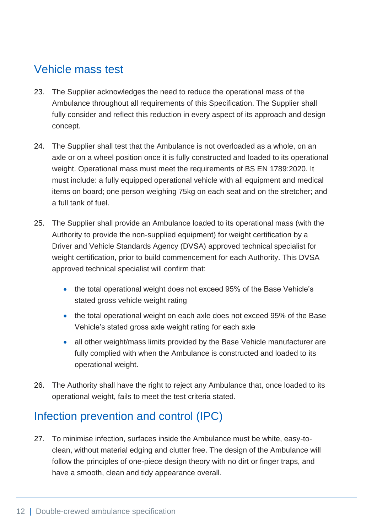### <span id="page-12-0"></span>Vehicle mass test

- 23. The Supplier acknowledges the need to reduce the operational mass of the Ambulance throughout all requirements of this Specification. The Supplier shall fully consider and reflect this reduction in every aspect of its approach and design concept.
- 24. The Supplier shall test that the Ambulance is not overloaded as a whole, on an axle or on a wheel position once it is fully constructed and loaded to its operational weight. Operational mass must meet the requirements of BS EN 1789:2020. It must include: a fully equipped operational vehicle with all equipment and medical items on board; one person weighing 75kg on each seat and on the stretcher; and a full tank of fuel.
- 25. The Supplier shall provide an Ambulance loaded to its operational mass (with the Authority to provide the non-supplied equipment) for weight certification by a Driver and Vehicle Standards Agency (DVSA) approved technical specialist for weight certification, prior to build commencement for each Authority. This DVSA approved technical specialist will confirm that:
	- the total operational weight does not exceed 95% of the Base Vehicle's stated gross vehicle weight rating
	- the total operational weight on each axle does not exceed 95% of the Base Vehicle's stated gross axle weight rating for each axle
	- all other weight/mass limits provided by the Base Vehicle manufacturer are fully complied with when the Ambulance is constructed and loaded to its operational weight.
- 26. The Authority shall have the right to reject any Ambulance that, once loaded to its operational weight, fails to meet the test criteria stated.

### <span id="page-12-1"></span>Infection prevention and control (IPC)

27. To minimise infection, surfaces inside the Ambulance must be white, easy-toclean, without material edging and clutter free. The design of the Ambulance will follow the principles of one-piece design theory with no dirt or finger traps, and have a smooth, clean and tidy appearance overall.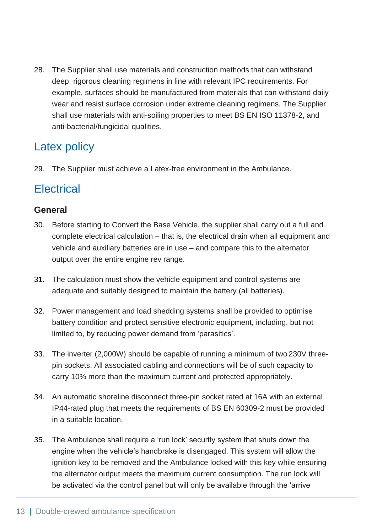28. The Supplier shall use materials and construction methods that can withstand deep, rigorous cleaning regimens in line with relevant IPC requirements. For example, surfaces should be manufactured from materials that can withstand daily wear and resist surface corrosion under extreme cleaning regimens. The Supplier shall use materials with anti-soiling properties to meet BS EN ISO 11378-2, and anti-bacterial/fungicidal qualities.

#### <span id="page-13-0"></span>Latex policy

29. The Supplier must achieve a Latex-free environment in the Ambulance.

### <span id="page-13-1"></span>**Electrical**

#### **General**

- 30. Before starting to Convert the Base Vehicle, the supplier shall carry out a full and complete electrical calculation – that is, the electrical drain when all equipment and vehicle and auxiliary batteries are in use – and compare this to the alternator output over the entire engine rev range.
- 31. The calculation must show the vehicle equipment and control systems are adequate and suitably designed to maintain the battery (all batteries).
- 32. Power management and load shedding systems shall be provided to optimise battery condition and protect sensitive electronic equipment, including, but not limited to, by reducing power demand from 'parasitics'.
- 33. The inverter (2,000W) should be capable of running a minimum of two 230V threepin sockets. All associated cabling and connections will be of such capacity to carry 10% more than the maximum current and protected appropriately.
- 34. An automatic shoreline disconnect three-pin socket rated at 16A with an external IP44-rated plug that meets the requirements of BS EN 60309-2 must be provided in a suitable location.
- 35. The Ambulance shall require a 'run lock' security system that shuts down the engine when the vehicle's handbrake is disengaged. This system will allow the ignition key to be removed and the Ambulance locked with this key while ensuring the alternator output meets the maximum current consumption. The run lock will be activated via the control panel but will only be available through the 'arrive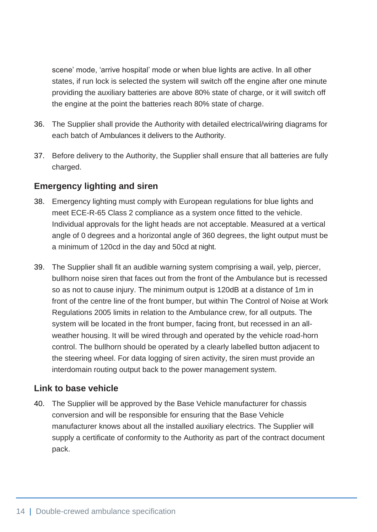scene' mode, 'arrive hospital' mode or when blue lights are active. In all other states, if run lock is selected the system will switch off the engine after one minute providing the auxiliary batteries are above 80% state of charge, or it will switch off the engine at the point the batteries reach 80% state of charge.

- 36. The Supplier shall provide the Authority with detailed electrical/wiring diagrams for each batch of Ambulances it delivers to the Authority.
- 37. Before delivery to the Authority, the Supplier shall ensure that all batteries are fully charged.

#### **Emergency lighting and siren**

- 38. Emergency lighting must comply with European regulations for blue lights and meet ECE-R-65 Class 2 compliance as a system once fitted to the vehicle. Individual approvals for the light heads are not acceptable. Measured at a vertical angle of 0 degrees and a horizontal angle of 360 degrees, the light output must be a minimum of 120cd in the day and 50cd at night.
- 39. The Supplier shall fit an audible warning system comprising a wail, yelp, piercer, bullhorn noise siren that faces out from the front of the Ambulance but is recessed so as not to cause injury. The minimum output is 120dB at a distance of 1m in front of the centre line of the front bumper, but within The Control of Noise at Work Regulations 2005 limits in relation to the Ambulance crew, for all outputs. The system will be located in the front bumper, facing front, but recessed in an allweather housing. It will be wired through and operated by the vehicle road-horn control. The bullhorn should be operated by a clearly labelled button adjacent to the steering wheel. For data logging of siren activity, the siren must provide an interdomain routing output back to the power management system.

#### **Link to base vehicle**

40. The Supplier will be approved by the Base Vehicle manufacturer for chassis conversion and will be responsible for ensuring that the Base Vehicle manufacturer knows about all the installed auxiliary electrics. The Supplier will supply a certificate of conformity to the Authority as part of the contract document pack.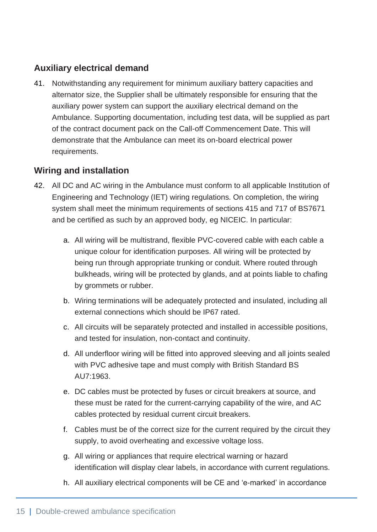#### **Auxiliary electrical demand**

41. Notwithstanding any requirement for minimum auxiliary battery capacities and alternator size, the Supplier shall be ultimately responsible for ensuring that the auxiliary power system can support the auxiliary electrical demand on the Ambulance. Supporting documentation, including test data, will be supplied as part of the contract document pack on the Call-off Commencement Date. This will demonstrate that the Ambulance can meet its on-board electrical power requirements.

#### **Wiring and installation**

- 42. All DC and AC wiring in the Ambulance must conform to all applicable Institution of Engineering and Technology (IET) wiring regulations. On completion, the wiring system shall meet the minimum requirements of sections 415 and 717 of BS7671 and be certified as such by an approved body, eg NICEIC. In particular:
	- a. All wiring will be multistrand, flexible PVC-covered cable with each cable a unique colour for identification purposes. All wiring will be protected by being run through appropriate trunking or conduit. Where routed through bulkheads, wiring will be protected by glands, and at points liable to chafing by grommets or rubber.
	- b. Wiring terminations will be adequately protected and insulated, including all external connections which should be IP67 rated.
	- c. All circuits will be separately protected and installed in accessible positions, and tested for insulation, non-contact and continuity.
	- d. All underfloor wiring will be fitted into approved sleeving and all joints sealed with PVC adhesive tape and must comply with British Standard BS AU7:1963.
	- e. DC cables must be protected by fuses or circuit breakers at source, and these must be rated for the current-carrying capability of the wire, and AC cables protected by residual current circuit breakers.
	- f. Cables must be of the correct size for the current required by the circuit they supply, to avoid overheating and excessive voltage loss.
	- g. All wiring or appliances that require electrical warning or hazard identification will display clear labels, in accordance with current regulations.
	- h. All auxiliary electrical components will be CE and 'e-marked' in accordance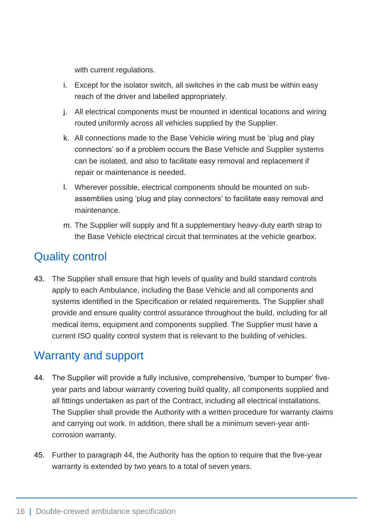with current regulations.

- i. Except for the isolator switch, all switches in the cab must be within easy reach of the driver and labelled appropriately.
- j. All electrical components must be mounted in identical locations and wiring routed uniformly across all vehicles supplied by the Supplier.
- k. All connections made to the Base Vehicle wiring must be 'plug and play connectors' so if a problem occurs the Base Vehicle and Supplier systems can be isolated, and also to facilitate easy removal and replacement if repair or maintenance is needed.
- l. Wherever possible, electrical components should be mounted on subassemblies using 'plug and play connectors' to facilitate easy removal and maintenance.
- m. The Supplier will supply and fit a supplementary heavy-duty earth strap to the Base Vehicle electrical circuit that terminates at the vehicle gearbox.

### <span id="page-16-0"></span>Quality control

43. The Supplier shall ensure that high levels of quality and build standard controls apply to each Ambulance, including the Base Vehicle and all components and systems identified in the Specification or related requirements. The Supplier shall provide and ensure quality control assurance throughout the build, including for all medical items, equipment and components supplied. The Supplier must have a current ISO quality control system that is relevant to the building of vehicles.

### <span id="page-16-1"></span>Warranty and support

- 44. The Supplier will provide a fully inclusive, comprehensive, 'bumper to bumper' fiveyear parts and labour warranty covering build quality, all components supplied and all fittings undertaken as part of the Contract, including all electrical installations. The Supplier shall provide the Authority with a written procedure for warranty claims and carrying out work. In addition, there shall be a minimum seven-year anticorrosion warranty.
- 45. Further to paragraph 44, the Authority has the option to require that the five-year warranty is extended by two years to a total of seven years.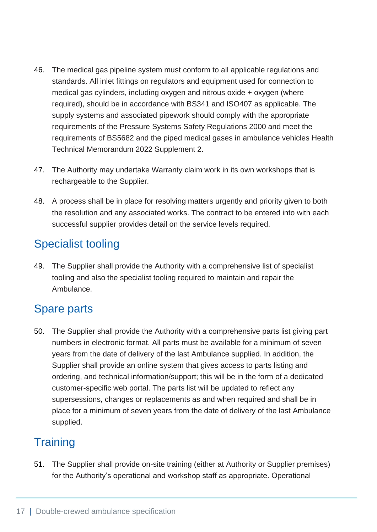- 46. The medical gas pipeline system must conform to all applicable regulations and standards. All inlet fittings on regulators and equipment used for connection to medical gas cylinders, including oxygen and nitrous oxide + oxygen (where required), should be in accordance with BS341 and ISO407 as applicable. The supply systems and associated pipework should comply with the appropriate requirements of the Pressure Systems Safety Regulations 2000 and meet the requirements of BS5682 and the piped medical gases in ambulance vehicles Health Technical Memorandum 2022 Supplement 2.
- 47. The Authority may undertake Warranty claim work in its own workshops that is rechargeable to the Supplier.
- 48. A process shall be in place for resolving matters urgently and priority given to both the resolution and any associated works. The contract to be entered into with each successful supplier provides detail on the service levels required.

## <span id="page-17-0"></span>Specialist tooling

49. The Supplier shall provide the Authority with a comprehensive list of specialist tooling and also the specialist tooling required to maintain and repair the Ambulance.

## <span id="page-17-1"></span>Spare parts

50. The Supplier shall provide the Authority with a comprehensive parts list giving part numbers in electronic format. All parts must be available for a minimum of seven years from the date of delivery of the last Ambulance supplied. In addition, the Supplier shall provide an online system that gives access to parts listing and ordering, and technical information/support; this will be in the form of a dedicated customer-specific web portal. The parts list will be updated to reflect any supersessions, changes or replacements as and when required and shall be in place for a minimum of seven years from the date of delivery of the last Ambulance supplied.

## <span id="page-17-2"></span>**Training**

51. The Supplier shall provide on-site training (either at Authority or Supplier premises) for the Authority's operational and workshop staff as appropriate. Operational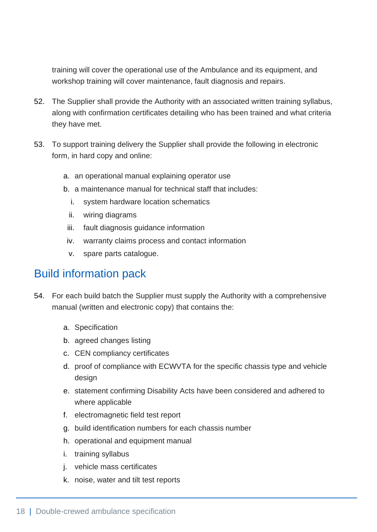training will cover the operational use of the Ambulance and its equipment, and workshop training will cover maintenance, fault diagnosis and repairs.

- 52. The Supplier shall provide the Authority with an associated written training syllabus, along with confirmation certificates detailing who has been trained and what criteria they have met.
- 53. To support training delivery the Supplier shall provide the following in electronic form, in hard copy and online:
	- a. an operational manual explaining operator use
	- b. a maintenance manual for technical staff that includes:
		- i. system hardware location schematics
		- ii. wiring diagrams
	- iii. fault diagnosis guidance information
	- iv. warranty claims process and contact information
	- v. spare parts catalogue.

#### <span id="page-18-0"></span>Build information pack

- 54. For each build batch the Supplier must supply the Authority with a comprehensive manual (written and electronic copy) that contains the:
	- a. Specification
	- b. agreed changes listing
	- c. CEN compliancy certificates
	- d. proof of compliance with ECWVTA for the specific chassis type and vehicle design
	- e. statement confirming Disability Acts have been considered and adhered to where applicable
	- f. electromagnetic field test report
	- g. build identification numbers for each chassis number
	- h. operational and equipment manual
	- i. training syllabus
	- j. vehicle mass certificates
	- k. noise, water and tilt test reports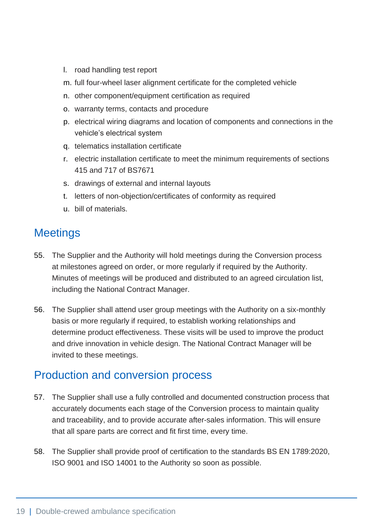- l. road handling test report
- m. full four-wheel laser alignment certificate for the completed vehicle
- n. other component/equipment certification as required
- o. warranty terms, contacts and procedure
- p. electrical wiring diagrams and location of components and connections in the vehicle's electrical system
- q. telematics installation certificate
- r. electric installation certificate to meet the minimum requirements of sections 415 and 717 of BS7671
- s. drawings of external and internal layouts
- t. letters of non-objection/certificates of conformity as required
- u. bill of materials.

### <span id="page-19-0"></span>**Meetings**

- 55. The Supplier and the Authority will hold meetings during the Conversion process at milestones agreed on order, or more regularly if required by the Authority. Minutes of meetings will be produced and distributed to an agreed circulation list, including the National Contract Manager.
- 56. The Supplier shall attend user group meetings with the Authority on a six-monthly basis or more regularly if required, to establish working relationships and determine product effectiveness. These visits will be used to improve the product and drive innovation in vehicle design. The National Contract Manager will be invited to these meetings.

#### <span id="page-19-1"></span>Production and conversion process

- 57. The Supplier shall use a fully controlled and documented construction process that accurately documents each stage of the Conversion process to maintain quality and traceability, and to provide accurate after-sales information. This will ensure that all spare parts are correct and fit first time, every time.
- 58. The Supplier shall provide proof of certification to the standards BS EN 1789:2020, ISO 9001 and ISO 14001 to the Authority so soon as possible.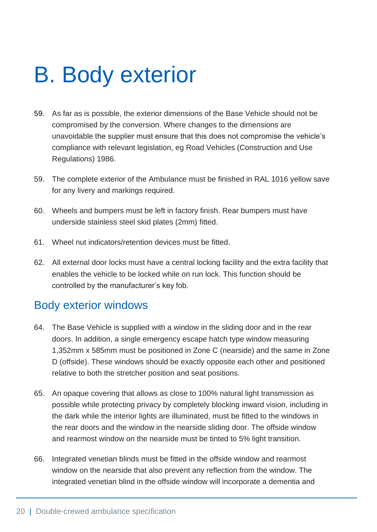## <span id="page-20-0"></span>B. Body exterior

- 59. As far as is possible, the exterior dimensions of the Base Vehicle should not be compromised by the conversion. Where changes to the dimensions are unavoidable the supplier must ensure that this does not compromise the vehicle's compliance with relevant legislation, eg Road Vehicles (Construction and Use Regulations) 1986.
- 59. The complete exterior of the Ambulance must be finished in RAL 1016 yellow save for any livery and markings required.
- 60. Wheels and bumpers must be left in factory finish. Rear bumpers must have underside stainless steel skid plates (2mm) fitted.
- 61. Wheel nut indicators/retention devices must be fitted.
- 62. All external door locks must have a central locking facility and the extra facility that enables the vehicle to be locked while on run lock. This function should be controlled by the manufacturer's key fob.

#### <span id="page-20-1"></span>Body exterior windows

- 64. The Base Vehicle is supplied with a window in the sliding door and in the rear doors. In addition, a single emergency escape hatch type window measuring 1,352mm x 585mm must be positioned in Zone C (nearside) and the same in Zone D (offside). These windows should be exactly opposite each other and positioned relative to both the stretcher position and seat positions.
- 65. An opaque covering that allows as close to 100% natural light transmission as possible while protecting privacy by completely blocking inward vision, including in the dark while the interior lights are illuminated, must be fitted to the windows in the rear doors and the window in the nearside sliding door. The offside window and rearmost window on the nearside must be tinted to 5% light transition.
- 66. Integrated venetian blinds must be fitted in the offside window and rearmost window on the nearside that also prevent any reflection from the window. The integrated venetian blind in the offside window will incorporate a dementia and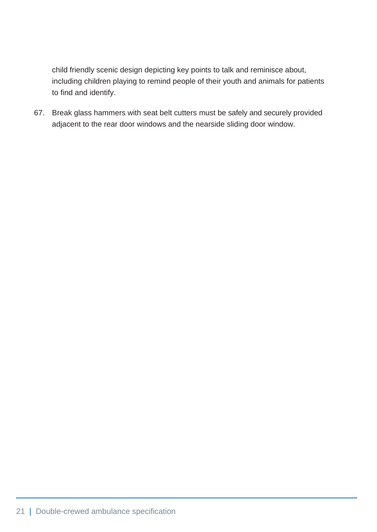child friendly scenic design depicting key points to talk and reminisce about, including children playing to remind people of their youth and animals for patients to find and identify.

67. Break glass hammers with seat belt cutters must be safely and securely provided adjacent to the rear door windows and the nearside sliding door window.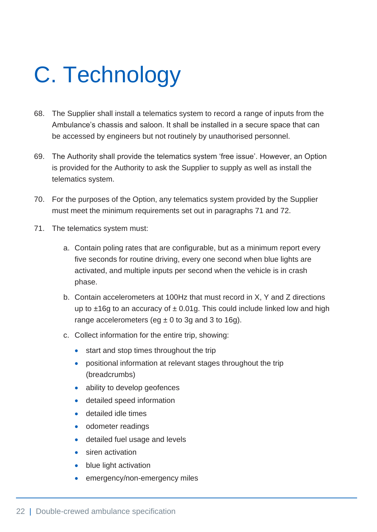# <span id="page-22-0"></span>C. Technology

- 68. The Supplier shall install a telematics system to record a range of inputs from the Ambulance's chassis and saloon. It shall be installed in a secure space that can be accessed by engineers but not routinely by unauthorised personnel.
- 69. The Authority shall provide the telematics system 'free issue'. However, an Option is provided for the Authority to ask the Supplier to supply as well as install the telematics system.
- 70. For the purposes of the Option, any telematics system provided by the Supplier must meet the minimum requirements set out in paragraphs 71 and 72.
- 71. The telematics system must:
	- a. Contain poling rates that are configurable, but as a minimum report every five seconds for routine driving, every one second when blue lights are activated, and multiple inputs per second when the vehicle is in crash phase.
	- b. Contain accelerometers at 100Hz that must record in X, Y and Z directions up to  $\pm 16g$  to an accuracy of  $\pm 0.01g$ . This could include linked low and high range accelerometers (eg  $\pm$  0 to 3g and 3 to 16g).
	- c. Collect information for the entire trip, showing:
		- start and stop times throughout the trip
		- positional information at relevant stages throughout the trip (breadcrumbs)
		- ability to develop geofences
		- detailed speed information
		- detailed idle times
		- odometer readings
		- detailed fuel usage and levels
		- siren activation
		- blue light activation
		- emergency/non-emergency miles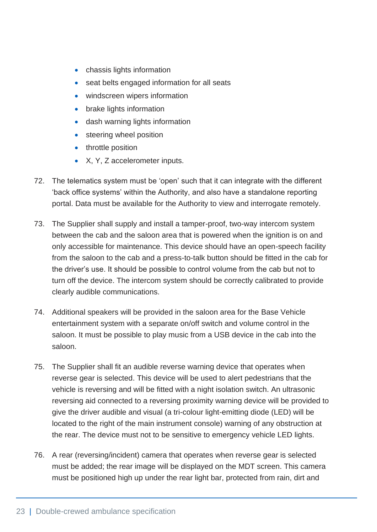- chassis lights information
- seat belts engaged information for all seats
- windscreen wipers information
- brake lights information
- dash warning lights information
- steering wheel position
- throttle position
- X, Y, Z accelerometer inputs.
- 72. The telematics system must be 'open' such that it can integrate with the different 'back office systems' within the Authority, and also have a standalone reporting portal. Data must be available for the Authority to view and interrogate remotely.
- 73. The Supplier shall supply and install a tamper-proof, two-way intercom system between the cab and the saloon area that is powered when the ignition is on and only accessible for maintenance. This device should have an open-speech facility from the saloon to the cab and a press-to-talk button should be fitted in the cab for the driver's use. It should be possible to control volume from the cab but not to turn off the device. The intercom system should be correctly calibrated to provide clearly audible communications.
- 74. Additional speakers will be provided in the saloon area for the Base Vehicle entertainment system with a separate on/off switch and volume control in the saloon. It must be possible to play music from a USB device in the cab into the saloon.
- 75. The Supplier shall fit an audible reverse warning device that operates when reverse gear is selected. This device will be used to alert pedestrians that the vehicle is reversing and will be fitted with a night isolation switch. An ultrasonic reversing aid connected to a reversing proximity warning device will be provided to give the driver audible and visual (a tri-colour light-emitting diode (LED) will be located to the right of the main instrument console) warning of any obstruction at the rear. The device must not to be sensitive to emergency vehicle LED lights.
- 76. A rear (reversing/incident) camera that operates when reverse gear is selected must be added; the rear image will be displayed on the MDT screen. This camera must be positioned high up under the rear light bar, protected from rain, dirt and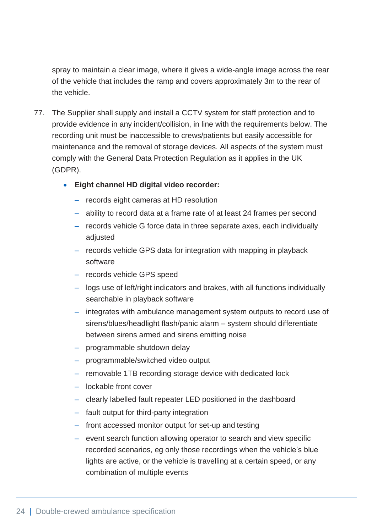spray to maintain a clear image, where it gives a wide-angle image across the rear of the vehicle that includes the ramp and covers approximately 3m to the rear of the vehicle.

- 77. The Supplier shall supply and install a CCTV system for staff protection and to provide evidence in any incident/collision, in line with the requirements below. The recording unit must be inaccessible to crews/patients but easily accessible for maintenance and the removal of storage devices. All aspects of the system must comply with the General Data Protection Regulation as it applies in the UK (GDPR).
	- **Eight channel HD digital video recorder:**
		- ‒ records eight cameras at HD resolution
		- ‒ ability to record data at a frame rate of at least 24 frames per second
		- ‒ records vehicle G force data in three separate axes, each individually adjusted
		- records vehicle GPS data for integration with mapping in playback software
		- records vehicle GPS speed
		- ‒ logs use of left/right indicators and brakes, with all functions individually searchable in playback software
		- ‒ integrates with ambulance management system outputs to record use of sirens/blues/headlight flash/panic alarm – system should differentiate between sirens armed and sirens emitting noise
		- programmable shutdown delay
		- ‒ programmable/switched video output
		- removable 1TB recording storage device with dedicated lock
		- ‒ lockable front cover
		- clearly labelled fault repeater LED positioned in the dashboard
		- ‒ fault output for third-party integration
		- ‒ front accessed monitor output for set-up and testing
		- event search function allowing operator to search and view specific recorded scenarios, eg only those recordings when the vehicle's blue lights are active, or the vehicle is travelling at a certain speed, or any combination of multiple events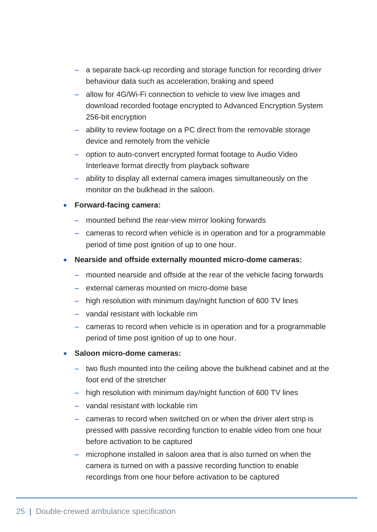- a separate back-up recording and storage function for recording driver behaviour data such as acceleration, braking and speed
- ‒ allow for 4G/Wi-Fi connection to vehicle to view live images and download recorded footage encrypted to Advanced Encryption System 256-bit encryption
- ability to review footage on a PC direct from the removable storage device and remotely from the vehicle
- ‒ option to auto-convert encrypted format footage to Audio Video Interleave format directly from playback software
- ‒ ability to display all external camera images simultaneously on the monitor on the bulkhead in the saloon.

#### • **Forward-facing camera:**

- ‒ mounted behind the rear-view mirror looking forwards
- cameras to record when vehicle is in operation and for a programmable period of time post ignition of up to one hour.
- **Nearside and offside externally mounted micro-dome cameras:**
	- ‒ mounted nearside and offside at the rear of the vehicle facing forwards
	- ‒ external cameras mounted on micro-dome base
	- ‒ high resolution with minimum day/night function of 600 TV lines
	- ‒ vandal resistant with lockable rim
	- cameras to record when vehicle is in operation and for a programmable period of time post ignition of up to one hour.
- **Saloon micro-dome cameras:**
	- ‒ two flush mounted into the ceiling above the bulkhead cabinet and at the foot end of the stretcher
	- ‒ high resolution with minimum day/night function of 600 TV lines
	- ‒ vandal resistant with lockable rim
	- cameras to record when switched on or when the driver alert strip is pressed with passive recording function to enable video from one hour before activation to be captured
	- ‒ microphone installed in saloon area that is also turned on when the camera is turned on with a passive recording function to enable recordings from one hour before activation to be captured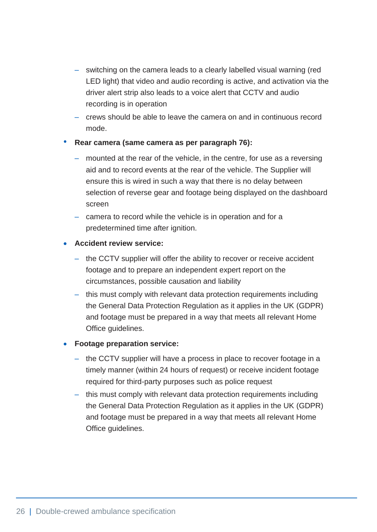- ‒ switching on the camera leads to a clearly labelled visual warning (red LED light) that video and audio recording is active, and activation via the driver alert strip also leads to a voice alert that CCTV and audio recording is in operation
- ‒ crews should be able to leave the camera on and in continuous record mode.

#### • **Rear camera (same camera as per paragraph 76):**

- ‒ mounted at the rear of the vehicle, in the centre, for use as a reversing aid and to record events at the rear of the vehicle. The Supplier will ensure this is wired in such a way that there is no delay between selection of reverse gear and footage being displayed on the dashboard screen
- camera to record while the vehicle is in operation and for a predetermined time after ignition.

#### • **Accident review service:**

- the CCTV supplier will offer the ability to recover or receive accident footage and to prepare an independent expert report on the circumstances, possible causation and liability
- this must comply with relevant data protection requirements including the General Data Protection Regulation as it applies in the UK (GDPR) and footage must be prepared in a way that meets all relevant Home Office guidelines.

#### • **Footage preparation service:**

- ‒ the CCTV supplier will have a process in place to recover footage in a timely manner (within 24 hours of request) or receive incident footage required for third-party purposes such as police request
- this must comply with relevant data protection requirements including the General Data Protection Regulation as it applies in the UK (GDPR) and footage must be prepared in a way that meets all relevant Home Office guidelines.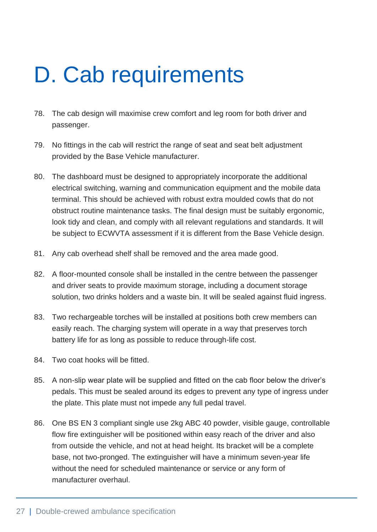# <span id="page-27-0"></span>D. Cab requirements

- 78. The cab design will maximise crew comfort and leg room for both driver and passenger.
- 79. No fittings in the cab will restrict the range of seat and seat belt adjustment provided by the Base Vehicle manufacturer.
- 80. The dashboard must be designed to appropriately incorporate the additional electrical switching, warning and communication equipment and the mobile data terminal. This should be achieved with robust extra moulded cowls that do not obstruct routine maintenance tasks. The final design must be suitably ergonomic, look tidy and clean, and comply with all relevant regulations and standards. It will be subject to ECWVTA assessment if it is different from the Base Vehicle design.
- 81. Any cab overhead shelf shall be removed and the area made good.
- 82. A floor-mounted console shall be installed in the centre between the passenger and driver seats to provide maximum storage, including a document storage solution, two drinks holders and a waste bin. It will be sealed against fluid ingress.
- 83. Two rechargeable torches will be installed at positions both crew members can easily reach. The charging system will operate in a way that preserves torch battery life for as long as possible to reduce through-life cost.
- 84. Two coat hooks will be fitted.
- 85. A non-slip wear plate will be supplied and fitted on the cab floor below the driver's pedals. This must be sealed around its edges to prevent any type of ingress under the plate. This plate must not impede any full pedal travel.
- 86. One BS EN 3 compliant single use 2kg ABC 40 powder, visible gauge, controllable flow fire extinguisher will be positioned within easy reach of the driver and also from outside the vehicle, and not at head height. Its bracket will be a complete base, not two-pronged. The extinguisher will have a minimum seven-year life without the need for scheduled maintenance or service or any form of manufacturer overhaul.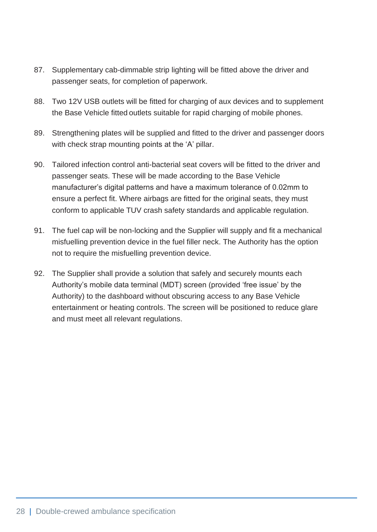- 87. Supplementary cab-dimmable strip lighting will be fitted above the driver and passenger seats, for completion of paperwork.
- 88. Two 12V USB outlets will be fitted for charging of aux devices and to supplement the Base Vehicle fitted outlets suitable for rapid charging of mobile phones.
- 89. Strengthening plates will be supplied and fitted to the driver and passenger doors with check strap mounting points at the 'A' pillar.
- 90. Tailored infection control anti-bacterial seat covers will be fitted to the driver and passenger seats. These will be made according to the Base Vehicle manufacturer's digital patterns and have a maximum tolerance of 0.02mm to ensure a perfect fit. Where airbags are fitted for the original seats, they must conform to applicable TUV crash safety standards and applicable regulation.
- 91. The fuel cap will be non-locking and the Supplier will supply and fit a mechanical misfuelling prevention device in the fuel filler neck. The Authority has the option not to require the misfuelling prevention device.
- 92. The Supplier shall provide a solution that safely and securely mounts each Authority's mobile data terminal (MDT) screen (provided 'free issue' by the Authority) to the dashboard without obscuring access to any Base Vehicle entertainment or heating controls. The screen will be positioned to reduce glare and must meet all relevant regulations.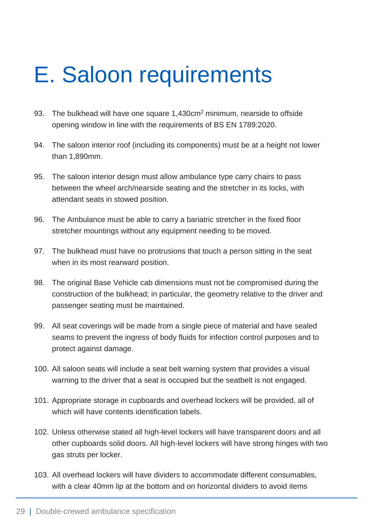# <span id="page-29-0"></span>E. Saloon requirements

- 93. The bulkhead will have one square 1,430cm<sup>2</sup> minimum, nearside to offside opening window in line with the requirements of BS EN 1789:2020.
- 94. The saloon interior roof (including its components) must be at a height not lower than 1,890mm.
- 95. The saloon interior design must allow ambulance type carry chairs to pass between the wheel arch/nearside seating and the stretcher in its locks, with attendant seats in stowed position.
- 96. The Ambulance must be able to carry a bariatric stretcher in the fixed floor stretcher mountings without any equipment needing to be moved.
- 97. The bulkhead must have no protrusions that touch a person sitting in the seat when in its most rearward position.
- 98. The original Base Vehicle cab dimensions must not be compromised during the construction of the bulkhead; in particular, the geometry relative to the driver and passenger seating must be maintained.
- 99. All seat coverings will be made from a single piece of material and have sealed seams to prevent the ingress of body fluids for infection control purposes and to protect against damage.
- 100. All saloon seats will include a seat belt warning system that provides a visual warning to the driver that a seat is occupied but the seatbelt is not engaged.
- 101. Appropriate storage in cupboards and overhead lockers will be provided, all of which will have contents identification labels.
- 102. Unless otherwise stated all high-level lockers will have transparent doors and all other cupboards solid doors. All high-level lockers will have strong hinges with two gas struts per locker.
- 103. All overhead lockers will have dividers to accommodate different consumables, with a clear 40mm lip at the bottom and on horizontal dividers to avoid items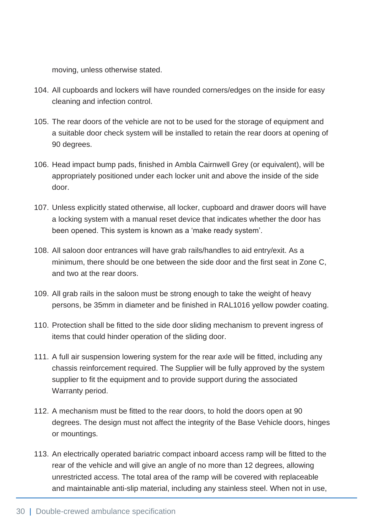moving, unless otherwise stated.

- 104. All cupboards and lockers will have rounded corners/edges on the inside for easy cleaning and infection control.
- 105. The rear doors of the vehicle are not to be used for the storage of equipment and a suitable door check system will be installed to retain the rear doors at opening of 90 degrees.
- 106. Head impact bump pads, finished in Ambla Cairnwell Grey (or equivalent), will be appropriately positioned under each locker unit and above the inside of the side door.
- 107. Unless explicitly stated otherwise, all locker, cupboard and drawer doors will have a locking system with a manual reset device that indicates whether the door has been opened. This system is known as a 'make ready system'.
- 108. All saloon door entrances will have grab rails/handles to aid entry/exit. As a minimum, there should be one between the side door and the first seat in Zone C, and two at the rear doors.
- 109. All grab rails in the saloon must be strong enough to take the weight of heavy persons, be 35mm in diameter and be finished in RAL1016 yellow powder coating.
- 110. Protection shall be fitted to the side door sliding mechanism to prevent ingress of items that could hinder operation of the sliding door.
- 111. A full air suspension lowering system for the rear axle will be fitted, including any chassis reinforcement required. The Supplier will be fully approved by the system supplier to fit the equipment and to provide support during the associated Warranty period.
- 112. A mechanism must be fitted to the rear doors, to hold the doors open at 90 degrees. The design must not affect the integrity of the Base Vehicle doors, hinges or mountings.
- 113. An electrically operated bariatric compact inboard access ramp will be fitted to the rear of the vehicle and will give an angle of no more than 12 degrees, allowing unrestricted access. The total area of the ramp will be covered with replaceable and maintainable anti-slip material, including any stainless steel. When not in use,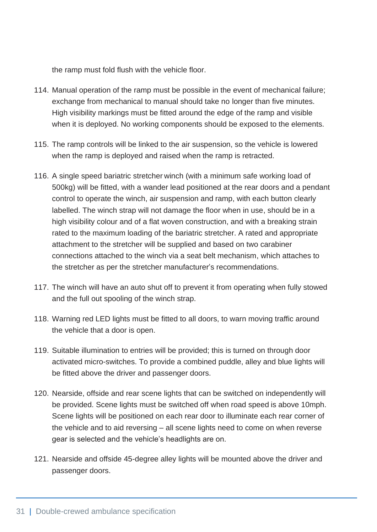the ramp must fold flush with the vehicle floor.

- 114. Manual operation of the ramp must be possible in the event of mechanical failure; exchange from mechanical to manual should take no longer than five minutes. High visibility markings must be fitted around the edge of the ramp and visible when it is deployed. No working components should be exposed to the elements.
- 115. The ramp controls will be linked to the air suspension, so the vehicle is lowered when the ramp is deployed and raised when the ramp is retracted.
- 116. A single speed bariatric stretcher winch (with a minimum safe working load of 500kg) will be fitted, with a wander lead positioned at the rear doors and a pendant control to operate the winch, air suspension and ramp, with each button clearly labelled. The winch strap will not damage the floor when in use, should be in a high visibility colour and of a flat woven construction, and with a breaking strain rated to the maximum loading of the bariatric stretcher. A rated and appropriate attachment to the stretcher will be supplied and based on two carabiner connections attached to the winch via a seat belt mechanism, which attaches to the stretcher as per the stretcher manufacturer's recommendations.
- 117. The winch will have an auto shut off to prevent it from operating when fully stowed and the full out spooling of the winch strap.
- 118. Warning red LED lights must be fitted to all doors, to warn moving traffic around the vehicle that a door is open.
- 119. Suitable illumination to entries will be provided; this is turned on through door activated micro-switches. To provide a combined puddle, alley and blue lights will be fitted above the driver and passenger doors.
- 120. Nearside, offside and rear scene lights that can be switched on independently will be provided. Scene lights must be switched off when road speed is above 10mph. Scene lights will be positioned on each rear door to illuminate each rear corner of the vehicle and to aid reversing – all scene lights need to come on when reverse gear is selected and the vehicle's headlights are on.
- 121. Nearside and offside 45-degree alley lights will be mounted above the driver and passenger doors.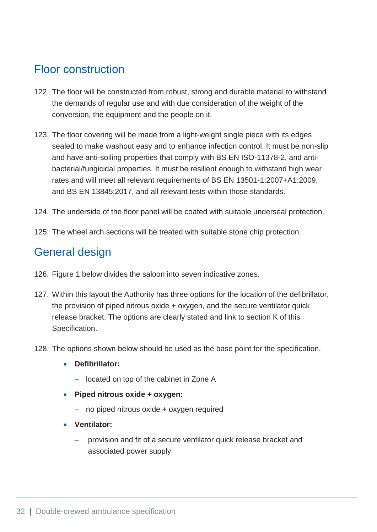### <span id="page-32-0"></span>Floor construction

- 122. The floor will be constructed from robust, strong and durable material to withstand the demands of regular use and with due consideration of the weight of the conversion, the equipment and the people on it.
- 123. The floor covering will be made from a light-weight single piece with its edges sealed to make washout easy and to enhance infection control. It must be non-slip and have anti-soiling properties that comply with BS EN ISO-11378-2, and antibacterial/fungicidal properties. It must be resilient enough to withstand high wear rates and will meet all relevant requirements of BS EN 13501-1:2007+A1:2009, and BS EN 13845:2017, and all relevant tests within those standards.
- 124. The underside of the floor panel will be coated with suitable underseal protection.
- 125. The wheel arch sections will be treated with suitable stone chip protection.

#### <span id="page-32-1"></span>General design

- 126. Figure 1 below divides the saloon into seven indicative zones.
- 127. Within this layout the Authority has three options for the location of the defibrillator, the provision of piped nitrous oxide + oxygen, and the secure ventilator quick release bracket. The options are clearly stated and link to section K of this Specification.
- 128. The options shown below should be used as the base point for the specification.
	- **Defibrillator:**
		- ‒ located on top of the cabinet in Zone A
	- **Piped nitrous oxide + oxygen:**
		- ‒ no piped nitrous oxide + oxygen required
	- **Ventilator:**
		- ‒ provision and fit of a secure ventilator quick release bracket and associated power supply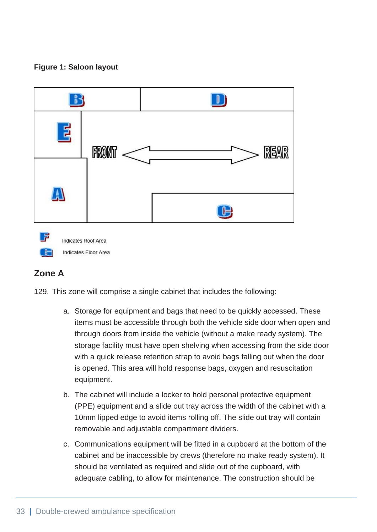#### **Figure 1: Saloon layout**



#### **Zone A**

Indicates Floor Area

129. This zone will comprise a single cabinet that includes the following:

- a. Storage for equipment and bags that need to be quickly accessed. These items must be accessible through both the vehicle side door when open and through doors from inside the vehicle (without a make ready system). The storage facility must have open shelving when accessing from the side door with a quick release retention strap to avoid bags falling out when the door is opened. This area will hold response bags, oxygen and resuscitation equipment.
- b. The cabinet will include a locker to hold personal protective equipment (PPE) equipment and a slide out tray across the width of the cabinet with a 10mm lipped edge to avoid items rolling off. The slide out tray will contain removable and adjustable compartment dividers.
- c. Communications equipment will be fitted in a cupboard at the bottom of the cabinet and be inaccessible by crews (therefore no make ready system). It should be ventilated as required and slide out of the cupboard, with adequate cabling, to allow for maintenance. The construction should be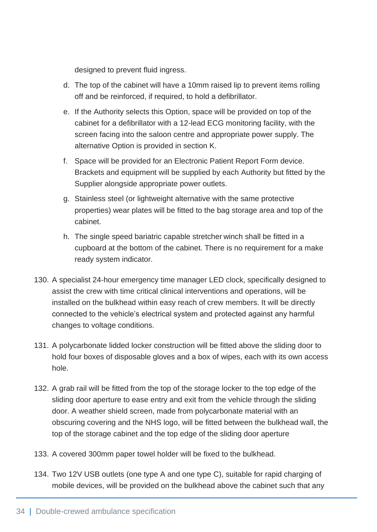designed to prevent fluid ingress.

- d. The top of the cabinet will have a 10mm raised lip to prevent items rolling off and be reinforced, if required, to hold a defibrillator.
- e. If the Authority selects this Option, space will be provided on top of the cabinet for a defibrillator with a 12-lead ECG monitoring facility, with the screen facing into the saloon centre and appropriate power supply. The alternative Option is provided in section K.
- f. Space will be provided for an Electronic Patient Report Form device. Brackets and equipment will be supplied by each Authority but fitted by the Supplier alongside appropriate power outlets.
- g. Stainless steel (or lightweight alternative with the same protective properties) wear plates will be fitted to the bag storage area and top of the cabinet.
- h. The single speed bariatric capable stretcher winch shall be fitted in a cupboard at the bottom of the cabinet. There is no requirement for a make ready system indicator.
- 130. A specialist 24-hour emergency time manager LED clock, specifically designed to assist the crew with time critical clinical interventions and operations, will be installed on the bulkhead within easy reach of crew members. It will be directly connected to the vehicle's electrical system and protected against any harmful changes to voltage conditions.
- 131. A polycarbonate lidded locker construction will be fitted above the sliding door to hold four boxes of disposable gloves and a box of wipes, each with its own access hole.
- 132. A grab rail will be fitted from the top of the storage locker to the top edge of the sliding door aperture to ease entry and exit from the vehicle through the sliding door. A weather shield screen, made from polycarbonate material with an obscuring covering and the NHS logo, will be fitted between the bulkhead wall, the top of the storage cabinet and the top edge of the sliding door aperture
- 133. A covered 300mm paper towel holder will be fixed to the bulkhead.
- 134. Two 12V USB outlets (one type A and one type C), suitable for rapid charging of mobile devices, will be provided on the bulkhead above the cabinet such that any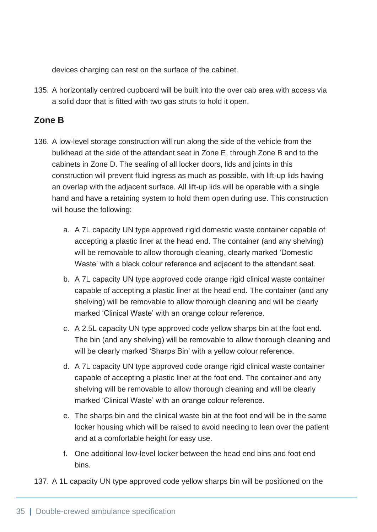devices charging can rest on the surface of the cabinet.

135. A horizontally centred cupboard will be built into the over cab area with access via a solid door that is fitted with two gas struts to hold it open.

#### **Zone B**

- 136. A low-level storage construction will run along the side of the vehicle from the bulkhead at the side of the attendant seat in Zone E, through Zone B and to the cabinets in Zone D. The sealing of all locker doors, lids and joints in this construction will prevent fluid ingress as much as possible, with lift-up lids having an overlap with the adjacent surface. All lift-up lids will be operable with a single hand and have a retaining system to hold them open during use. This construction will house the following:
	- a. A 7L capacity UN type approved rigid domestic waste container capable of accepting a plastic liner at the head end. The container (and any shelving) will be removable to allow thorough cleaning, clearly marked 'Domestic Waste' with a black colour reference and adjacent to the attendant seat.
	- b. A 7L capacity UN type approved code orange rigid clinical waste container capable of accepting a plastic liner at the head end. The container (and any shelving) will be removable to allow thorough cleaning and will be clearly marked 'Clinical Waste' with an orange colour reference.
	- c. A 2.5L capacity UN type approved code yellow sharps bin at the foot end. The bin (and any shelving) will be removable to allow thorough cleaning and will be clearly marked 'Sharps Bin' with a yellow colour reference.
	- d. A 7L capacity UN type approved code orange rigid clinical waste container capable of accepting a plastic liner at the foot end. The container and any shelving will be removable to allow thorough cleaning and will be clearly marked 'Clinical Waste' with an orange colour reference.
	- e. The sharps bin and the clinical waste bin at the foot end will be in the same locker housing which will be raised to avoid needing to lean over the patient and at a comfortable height for easy use.
	- f. One additional low-level locker between the head end bins and foot end bins.
- 137. A 1L capacity UN type approved code yellow sharps bin will be positioned on the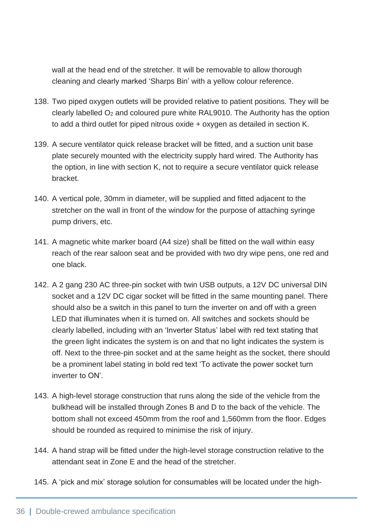wall at the head end of the stretcher. It will be removable to allow thorough cleaning and clearly marked 'Sharps Bin' with a yellow colour reference.

- 138. Two piped oxygen outlets will be provided relative to patient positions. They will be clearly labelled O<sup>2</sup> and coloured pure white RAL9010. The Authority has the option to add a third outlet for piped nitrous oxide + oxygen as detailed in section K.
- 139. A secure ventilator quick release bracket will be fitted, and a suction unit base plate securely mounted with the electricity supply hard wired. The Authority has the option, in line with section K, not to require a secure ventilator quick release bracket.
- 140. A vertical pole, 30mm in diameter, will be supplied and fitted adjacent to the stretcher on the wall in front of the window for the purpose of attaching syringe pump drivers, etc.
- 141. A magnetic white marker board (A4 size) shall be fitted on the wall within easy reach of the rear saloon seat and be provided with two dry wipe pens, one red and one black.
- 142. A 2 gang 230 AC three-pin socket with twin USB outputs, a 12V DC universal DIN socket and a 12V DC cigar socket will be fitted in the same mounting panel. There should also be a switch in this panel to turn the inverter on and off with a green LED that illuminates when it is turned on. All switches and sockets should be clearly labelled, including with an 'Inverter Status' label with red text stating that the green light indicates the system is on and that no light indicates the system is off. Next to the three-pin socket and at the same height as the socket, there should be a prominent label stating in bold red text 'To activate the power socket turn inverter to ON'.
- 143. A high-level storage construction that runs along the side of the vehicle from the bulkhead will be installed through Zones B and D to the back of the vehicle. The bottom shall not exceed 450mm from the roof and 1,560mm from the floor. Edges should be rounded as required to minimise the risk of injury.
- 144. A hand strap will be fitted under the high-level storage construction relative to the attendant seat in Zone E and the head of the stretcher.
- 145. A 'pick and mix' storage solution for consumables will be located under the high-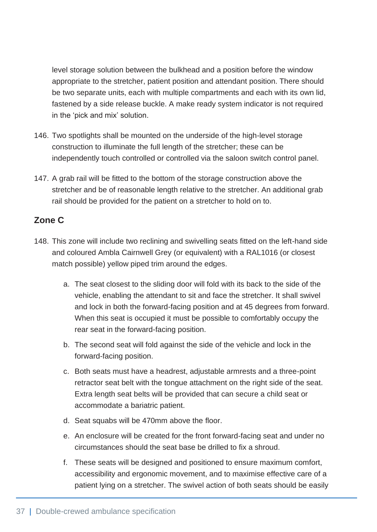level storage solution between the bulkhead and a position before the window appropriate to the stretcher, patient position and attendant position. There should be two separate units, each with multiple compartments and each with its own lid, fastened by a side release buckle. A make ready system indicator is not required in the 'pick and mix' solution.

- 146. Two spotlights shall be mounted on the underside of the high-level storage construction to illuminate the full length of the stretcher; these can be independently touch controlled or controlled via the saloon switch control panel.
- 147. A grab rail will be fitted to the bottom of the storage construction above the stretcher and be of reasonable length relative to the stretcher. An additional grab rail should be provided for the patient on a stretcher to hold on to.

### **Zone C**

- 148. This zone will include two reclining and swivelling seats fitted on the left-hand side and coloured Ambla Cairnwell Grey (or equivalent) with a RAL1016 (or closest match possible) yellow piped trim around the edges.
	- a. The seat closest to the sliding door will fold with its back to the side of the vehicle, enabling the attendant to sit and face the stretcher. It shall swivel and lock in both the forward-facing position and at 45 degrees from forward. When this seat is occupied it must be possible to comfortably occupy the rear seat in the forward-facing position.
	- b. The second seat will fold against the side of the vehicle and lock in the forward-facing position.
	- c. Both seats must have a headrest, adjustable armrests and a three-point retractor seat belt with the tongue attachment on the right side of the seat. Extra length seat belts will be provided that can secure a child seat or accommodate a bariatric patient.
	- d. Seat squabs will be 470mm above the floor.
	- e. An enclosure will be created for the front forward-facing seat and under no circumstances should the seat base be drilled to fix a shroud.
	- f. These seats will be designed and positioned to ensure maximum comfort, accessibility and ergonomic movement, and to maximise effective care of a patient lying on a stretcher. The swivel action of both seats should be easily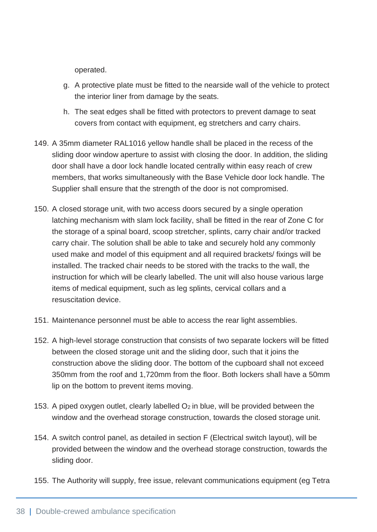operated.

- g. A protective plate must be fitted to the nearside wall of the vehicle to protect the interior liner from damage by the seats.
- h. The seat edges shall be fitted with protectors to prevent damage to seat covers from contact with equipment, eg stretchers and carry chairs.
- 149. A 35mm diameter RAL1016 yellow handle shall be placed in the recess of the sliding door window aperture to assist with closing the door. In addition, the sliding door shall have a door lock handle located centrally within easy reach of crew members, that works simultaneously with the Base Vehicle door lock handle. The Supplier shall ensure that the strength of the door is not compromised.
- 150. A closed storage unit, with two access doors secured by a single operation latching mechanism with slam lock facility, shall be fitted in the rear of Zone C for the storage of a spinal board, scoop stretcher, splints, carry chair and/or tracked carry chair. The solution shall be able to take and securely hold any commonly used make and model of this equipment and all required brackets/ fixings will be installed. The tracked chair needs to be stored with the tracks to the wall, the instruction for which will be clearly labelled. The unit will also house various large items of medical equipment, such as leg splints, cervical collars and a resuscitation device.
- 151. Maintenance personnel must be able to access the rear light assemblies.
- 152. A high-level storage construction that consists of two separate lockers will be fitted between the closed storage unit and the sliding door, such that it joins the construction above the sliding door. The bottom of the cupboard shall not exceed 350mm from the roof and 1,720mm from the floor. Both lockers shall have a 50mm lip on the bottom to prevent items moving.
- 153. A piped oxygen outlet, clearly labelled  $O_2$  in blue, will be provided between the window and the overhead storage construction, towards the closed storage unit.
- 154. A switch control panel, as detailed in section F (Electrical switch layout), will be provided between the window and the overhead storage construction, towards the sliding door.
- 155. The Authority will supply, free issue, relevant communications equipment (eg Tetra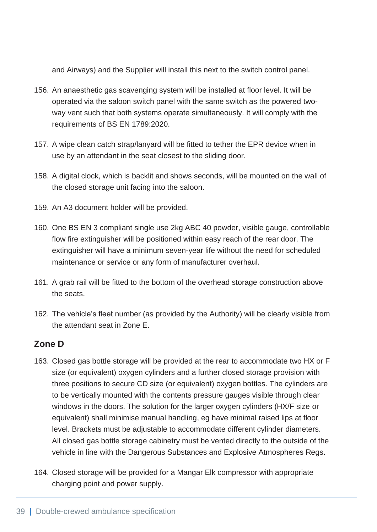and Airways) and the Supplier will install this next to the switch control panel.

- 156. An anaesthetic gas scavenging system will be installed at floor level. It will be operated via the saloon switch panel with the same switch as the powered twoway vent such that both systems operate simultaneously. It will comply with the requirements of BS EN 1789:2020.
- 157. A wipe clean catch strap/lanyard will be fitted to tether the EPR device when in use by an attendant in the seat closest to the sliding door.
- 158. A digital clock, which is backlit and shows seconds, will be mounted on the wall of the closed storage unit facing into the saloon.
- 159. An A3 document holder will be provided.
- 160. One BS EN 3 compliant single use 2kg ABC 40 powder, visible gauge, controllable flow fire extinguisher will be positioned within easy reach of the rear door. The extinguisher will have a minimum seven-year life without the need for scheduled maintenance or service or any form of manufacturer overhaul.
- 161. A grab rail will be fitted to the bottom of the overhead storage construction above the seats.
- 162. The vehicle's fleet number (as provided by the Authority) will be clearly visible from the attendant seat in Zone E.

#### **Zone D**

- 163. Closed gas bottle storage will be provided at the rear to accommodate two HX or F size (or equivalent) oxygen cylinders and a further closed storage provision with three positions to secure CD size (or equivalent) oxygen bottles. The cylinders are to be vertically mounted with the contents pressure gauges visible through clear windows in the doors. The solution for the larger oxygen cylinders (HX/F size or equivalent) shall minimise manual handling, eg have minimal raised lips at floor level. Brackets must be adjustable to accommodate different cylinder diameters. All closed gas bottle storage cabinetry must be vented directly to the outside of the vehicle in line with the Dangerous Substances and Explosive Atmospheres Regs.
- 164. Closed storage will be provided for a Mangar Elk compressor with appropriate charging point and power supply.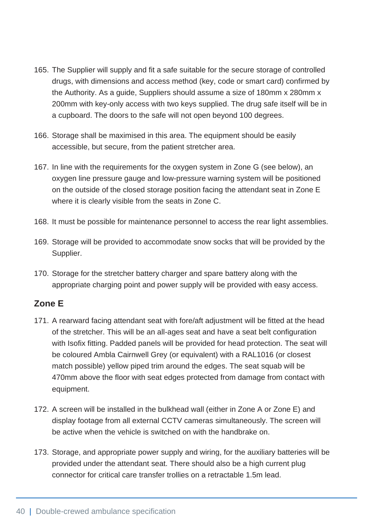- 165. The Supplier will supply and fit a safe suitable for the secure storage of controlled drugs, with dimensions and access method (key, code or smart card) confirmed by the Authority. As a guide, Suppliers should assume a size of 180mm x 280mm x 200mm with key-only access with two keys supplied. The drug safe itself will be in a cupboard. The doors to the safe will not open beyond 100 degrees.
- 166. Storage shall be maximised in this area. The equipment should be easily accessible, but secure, from the patient stretcher area.
- 167. In line with the requirements for the oxygen system in Zone G (see below), an oxygen line pressure gauge and low-pressure warning system will be positioned on the outside of the closed storage position facing the attendant seat in Zone E where it is clearly visible from the seats in Zone C.
- 168. It must be possible for maintenance personnel to access the rear light assemblies.
- 169. Storage will be provided to accommodate snow socks that will be provided by the Supplier.
- 170. Storage for the stretcher battery charger and spare battery along with the appropriate charging point and power supply will be provided with easy access.

#### **Zone E**

- 171. A rearward facing attendant seat with fore/aft adjustment will be fitted at the head of the stretcher. This will be an all-ages seat and have a seat belt configuration with Isofix fitting. Padded panels will be provided for head protection. The seat will be coloured Ambla Cairnwell Grey (or equivalent) with a RAL1016 (or closest match possible) yellow piped trim around the edges. The seat squab will be 470mm above the floor with seat edges protected from damage from contact with equipment.
- 172. A screen will be installed in the bulkhead wall (either in Zone A or Zone E) and display footage from all external CCTV cameras simultaneously. The screen will be active when the vehicle is switched on with the handbrake on.
- 173. Storage, and appropriate power supply and wiring, for the auxiliary batteries will be provided under the attendant seat. There should also be a high current plug connector for critical care transfer trollies on a retractable 1.5m lead.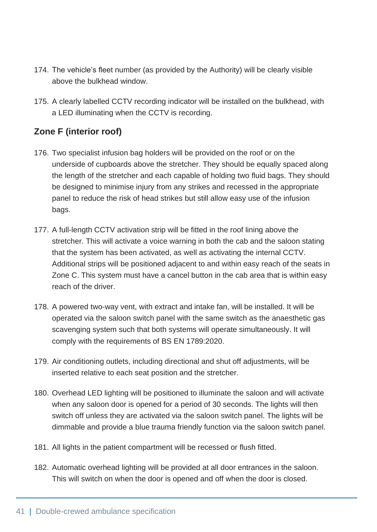- 174. The vehicle's fleet number (as provided by the Authority) will be clearly visible above the bulkhead window.
- 175. A clearly labelled CCTV recording indicator will be installed on the bulkhead, with a LED illuminating when the CCTV is recording.

### **Zone F (interior roof)**

- 176. Two specialist infusion bag holders will be provided on the roof or on the underside of cupboards above the stretcher. They should be equally spaced along the length of the stretcher and each capable of holding two fluid bags. They should be designed to minimise injury from any strikes and recessed in the appropriate panel to reduce the risk of head strikes but still allow easy use of the infusion bags.
- 177. A full-length CCTV activation strip will be fitted in the roof lining above the stretcher. This will activate a voice warning in both the cab and the saloon stating that the system has been activated, as well as activating the internal CCTV. Additional strips will be positioned adjacent to and within easy reach of the seats in Zone C. This system must have a cancel button in the cab area that is within easy reach of the driver.
- 178. A powered two-way vent, with extract and intake fan, will be installed. It will be operated via the saloon switch panel with the same switch as the anaesthetic gas scavenging system such that both systems will operate simultaneously. It will comply with the requirements of BS EN 1789:2020.
- 179. Air conditioning outlets, including directional and shut off adjustments, will be inserted relative to each seat position and the stretcher.
- 180. Overhead LED lighting will be positioned to illuminate the saloon and will activate when any saloon door is opened for a period of 30 seconds. The lights will then switch off unless they are activated via the saloon switch panel. The lights will be dimmable and provide a blue trauma friendly function via the saloon switch panel.
- 181. All lights in the patient compartment will be recessed or flush fitted.
- 182. Automatic overhead lighting will be provided at all door entrances in the saloon. This will switch on when the door is opened and off when the door is closed.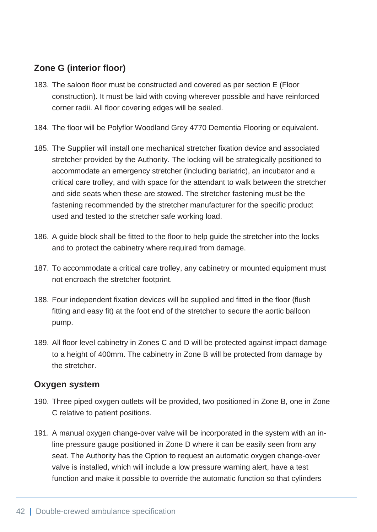## **Zone G (interior floor)**

- 183. The saloon floor must be constructed and covered as per section E (Floor construction). It must be laid with coving wherever possible and have reinforced corner radii. All floor covering edges will be sealed.
- 184. The floor will be Polyflor Woodland Grey 4770 Dementia Flooring or equivalent.
- 185. The Supplier will install one mechanical stretcher fixation device and associated stretcher provided by the Authority. The locking will be strategically positioned to accommodate an emergency stretcher (including bariatric), an incubator and a critical care trolley, and with space for the attendant to walk between the stretcher and side seats when these are stowed. The stretcher fastening must be the fastening recommended by the stretcher manufacturer for the specific product used and tested to the stretcher safe working load.
- 186. A guide block shall be fitted to the floor to help guide the stretcher into the locks and to protect the cabinetry where required from damage.
- 187. To accommodate a critical care trolley, any cabinetry or mounted equipment must not encroach the stretcher footprint.
- 188. Four independent fixation devices will be supplied and fitted in the floor (flush fitting and easy fit) at the foot end of the stretcher to secure the aortic balloon pump.
- 189. All floor level cabinetry in Zones C and D will be protected against impact damage to a height of 400mm. The cabinetry in Zone B will be protected from damage by the stretcher.

#### **Oxygen system**

- 190. Three piped oxygen outlets will be provided, two positioned in Zone B, one in Zone C relative to patient positions.
- 191. A manual oxygen change-over valve will be incorporated in the system with an inline pressure gauge positioned in Zone D where it can be easily seen from any seat. The Authority has the Option to request an automatic oxygen change-over valve is installed, which will include a low pressure warning alert, have a test function and make it possible to override the automatic function so that cylinders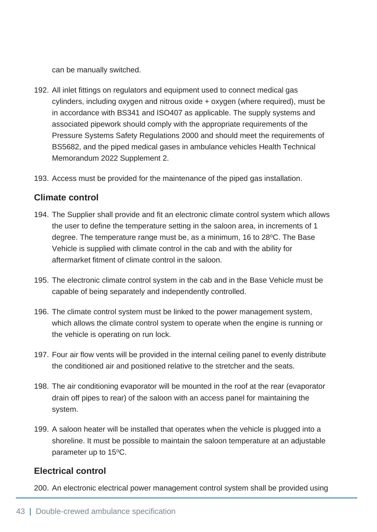can be manually switched.

- 192. All inlet fittings on regulators and equipment used to connect medical gas cylinders, including oxygen and nitrous oxide + oxygen (where required), must be in accordance with BS341 and ISO407 as applicable. The supply systems and associated pipework should comply with the appropriate requirements of the Pressure Systems Safety Regulations 2000 and should meet the requirements of BS5682, and the piped medical gases in ambulance vehicles Health Technical Memorandum 2022 Supplement 2.
- 193. Access must be provided for the maintenance of the piped gas installation.

#### **Climate control**

- 194. The Supplier shall provide and fit an electronic climate control system which allows the user to define the temperature setting in the saloon area, in increments of 1 degree. The temperature range must be, as a minimum, 16 to 28 °C. The Base Vehicle is supplied with climate control in the cab and with the ability for aftermarket fitment of climate control in the saloon.
- 195. The electronic climate control system in the cab and in the Base Vehicle must be capable of being separately and independently controlled.
- 196. The climate control system must be linked to the power management system, which allows the climate control system to operate when the engine is running or the vehicle is operating on run lock.
- 197. Four air flow vents will be provided in the internal ceiling panel to evenly distribute the conditioned air and positioned relative to the stretcher and the seats.
- 198. The air conditioning evaporator will be mounted in the roof at the rear (evaporator drain off pipes to rear) of the saloon with an access panel for maintaining the system.
- 199. A saloon heater will be installed that operates when the vehicle is plugged into a shoreline. It must be possible to maintain the saloon temperature at an adjustable parameter up to 15°C.

#### **Electrical control**

200. An electronic electrical power management control system shall be provided using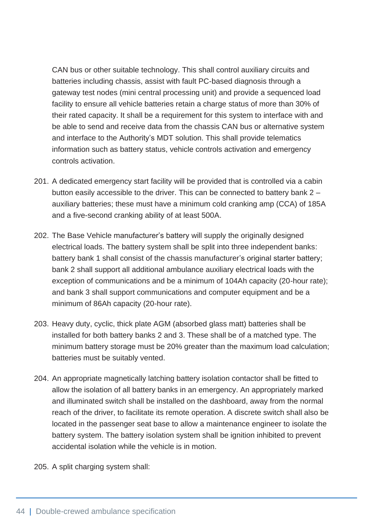CAN bus or other suitable technology. This shall control auxiliary circuits and batteries including chassis, assist with fault PC-based diagnosis through a gateway test nodes (mini central processing unit) and provide a sequenced load facility to ensure all vehicle batteries retain a charge status of more than 30% of their rated capacity. It shall be a requirement for this system to interface with and be able to send and receive data from the chassis CAN bus or alternative system and interface to the Authority's MDT solution. This shall provide telematics information such as battery status, vehicle controls activation and emergency controls activation.

- 201. A dedicated emergency start facility will be provided that is controlled via a cabin button easily accessible to the driver. This can be connected to battery bank 2 – auxiliary batteries; these must have a minimum cold cranking amp (CCA) of 185A and a five-second cranking ability of at least 500A.
- 202. The Base Vehicle manufacturer's battery will supply the originally designed electrical loads. The battery system shall be split into three independent banks: battery bank 1 shall consist of the chassis manufacturer's original starter battery; bank 2 shall support all additional ambulance auxiliary electrical loads with the exception of communications and be a minimum of 104Ah capacity (20-hour rate); and bank 3 shall support communications and computer equipment and be a minimum of 86Ah capacity (20-hour rate).
- 203. Heavy duty, cyclic, thick plate AGM (absorbed glass matt) batteries shall be installed for both battery banks 2 and 3. These shall be of a matched type. The minimum battery storage must be 20% greater than the maximum load calculation; batteries must be suitably vented.
- 204. An appropriate magnetically latching battery isolation contactor shall be fitted to allow the isolation of all battery banks in an emergency. An appropriately marked and illuminated switch shall be installed on the dashboard, away from the normal reach of the driver, to facilitate its remote operation. A discrete switch shall also be located in the passenger seat base to allow a maintenance engineer to isolate the battery system. The battery isolation system shall be ignition inhibited to prevent accidental isolation while the vehicle is in motion.

205. A split charging system shall: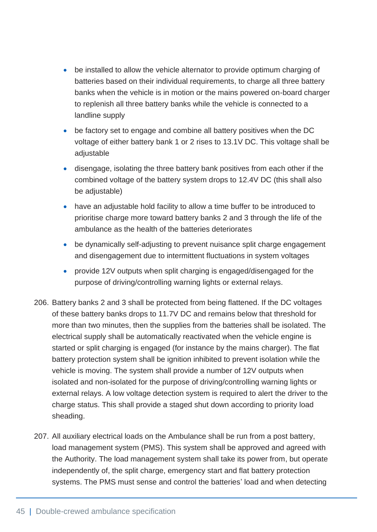- be installed to allow the vehicle alternator to provide optimum charging of batteries based on their individual requirements, to charge all three battery banks when the vehicle is in motion or the mains powered on-board charger to replenish all three battery banks while the vehicle is connected to a landline supply
- be factory set to engage and combine all battery positives when the DC voltage of either battery bank 1 or 2 rises to 13.1V DC. This voltage shall be adjustable
- disengage, isolating the three battery bank positives from each other if the combined voltage of the battery system drops to 12.4V DC (this shall also be adjustable)
- have an adjustable hold facility to allow a time buffer to be introduced to prioritise charge more toward battery banks 2 and 3 through the life of the ambulance as the health of the batteries deteriorates
- be dynamically self-adjusting to prevent nuisance split charge engagement and disengagement due to intermittent fluctuations in system voltages
- provide 12V outputs when split charging is engaged/disengaged for the purpose of driving/controlling warning lights or external relays.
- 206. Battery banks 2 and 3 shall be protected from being flattened. If the DC voltages of these battery banks drops to 11.7V DC and remains below that threshold for more than two minutes, then the supplies from the batteries shall be isolated. The electrical supply shall be automatically reactivated when the vehicle engine is started or split charging is engaged (for instance by the mains charger). The flat battery protection system shall be ignition inhibited to prevent isolation while the vehicle is moving. The system shall provide a number of 12V outputs when isolated and non-isolated for the purpose of driving/controlling warning lights or external relays. A low voltage detection system is required to alert the driver to the charge status. This shall provide a staged shut down according to priority load sheading.
- 207. All auxiliary electrical loads on the Ambulance shall be run from a post battery, load management system (PMS). This system shall be approved and agreed with the Authority. The load management system shall take its power from, but operate independently of, the split charge, emergency start and flat battery protection systems. The PMS must sense and control the batteries' load and when detecting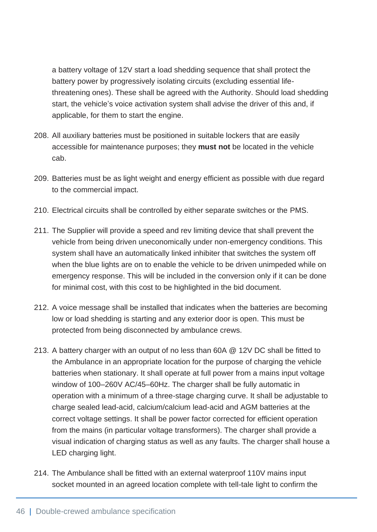a battery voltage of 12V start a load shedding sequence that shall protect the battery power by progressively isolating circuits (excluding essential lifethreatening ones). These shall be agreed with the Authority. Should load shedding start, the vehicle's voice activation system shall advise the driver of this and, if applicable, for them to start the engine.

- 208. All auxiliary batteries must be positioned in suitable lockers that are easily accessible for maintenance purposes; they **must not** be located in the vehicle cab.
- 209. Batteries must be as light weight and energy efficient as possible with due regard to the commercial impact.
- 210. Electrical circuits shall be controlled by either separate switches or the PMS.
- 211. The Supplier will provide a speed and rev limiting device that shall prevent the vehicle from being driven uneconomically under non-emergency conditions. This system shall have an automatically linked inhibiter that switches the system off when the blue lights are on to enable the vehicle to be driven unimpeded while on emergency response. This will be included in the conversion only if it can be done for minimal cost, with this cost to be highlighted in the bid document.
- 212. A voice message shall be installed that indicates when the batteries are becoming low or load shedding is starting and any exterior door is open. This must be protected from being disconnected by ambulance crews.
- 213. A battery charger with an output of no less than 60A @ 12V DC shall be fitted to the Ambulance in an appropriate location for the purpose of charging the vehicle batteries when stationary. It shall operate at full power from a mains input voltage window of 100–260V AC/45–60Hz. The charger shall be fully automatic in operation with a minimum of a three-stage charging curve. It shall be adjustable to charge sealed lead-acid, calcium/calcium lead-acid and AGM batteries at the correct voltage settings. It shall be power factor corrected for efficient operation from the mains (in particular voltage transformers). The charger shall provide a visual indication of charging status as well as any faults. The charger shall house a LED charging light.
- 214. The Ambulance shall be fitted with an external waterproof 110V mains input socket mounted in an agreed location complete with tell-tale light to confirm the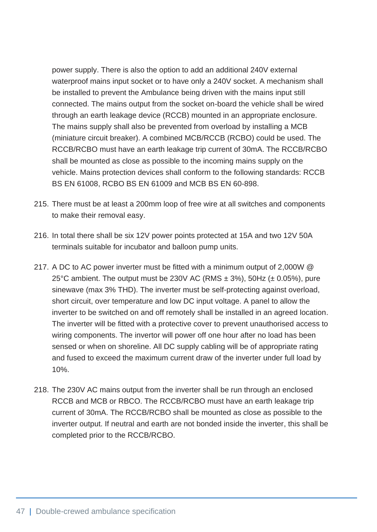power supply. There is also the option to add an additional 240V external waterproof mains input socket or to have only a 240V socket. A mechanism shall be installed to prevent the Ambulance being driven with the mains input still connected. The mains output from the socket on-board the vehicle shall be wired through an earth leakage device (RCCB) mounted in an appropriate enclosure. The mains supply shall also be prevented from overload by installing a MCB (miniature circuit breaker). A combined MCB/RCCB (RCBO) could be used. The RCCB/RCBO must have an earth leakage trip current of 30mA. The RCCB/RCBO shall be mounted as close as possible to the incoming mains supply on the vehicle. Mains protection devices shall conform to the following standards: RCCB BS EN 61008, RCBO BS EN 61009 and MCB BS EN 60-898.

- 215. There must be at least a 200mm loop of free wire at all switches and components to make their removal easy.
- 216. In total there shall be six 12V power points protected at 15A and two 12V 50A terminals suitable for incubator and balloon pump units.
- 217. A DC to AC power inverter must be fitted with a minimum output of 2,000W @ 25°C ambient. The output must be 230V AC (RMS  $\pm$  3%), 50Hz ( $\pm$  0.05%), pure sinewave (max 3% THD). The inverter must be self-protecting against overload, short circuit, over temperature and low DC input voltage. A panel to allow the inverter to be switched on and off remotely shall be installed in an agreed location. The inverter will be fitted with a protective cover to prevent unauthorised access to wiring components. The invertor will power off one hour after no load has been sensed or when on shoreline. All DC supply cabling will be of appropriate rating and fused to exceed the maximum current draw of the inverter under full load by 10%.
- 218. The 230V AC mains output from the inverter shall be run through an enclosed RCCB and MCB or RBCO. The RCCB/RCBO must have an earth leakage trip current of 30mA. The RCCB/RCBO shall be mounted as close as possible to the inverter output. If neutral and earth are not bonded inside the inverter, this shall be completed prior to the RCCB/RCBO.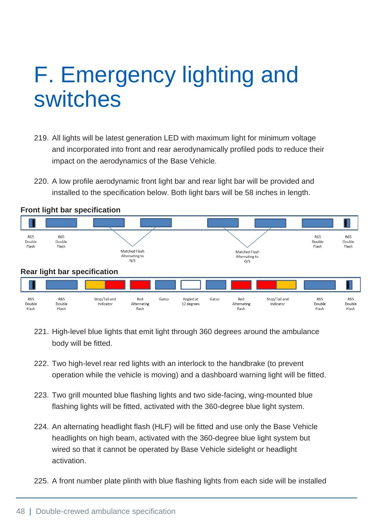# F. Emergency lighting and switches

- 219. All lights will be latest generation LED with maximum light for minimum voltage and incorporated into front and rear aerodynamically profiled pods to reduce their impact on the aerodynamics of the Base Vehicle.
- 220. A low profile aerodynamic front light bar and rear light bar will be provided and installed to the specification below. Both light bars will be 58 inches in length.



#### **Front light bar specification**

- 221. High-level blue lights that emit light through 360 degrees around the ambulance body will be fitted.
- 222. Two high-level rear red lights with an interlock to the handbrake (to prevent operation while the vehicle is moving) and a dashboard warning light will be fitted.
- 223. Two grill mounted blue flashing lights and two side-facing, wing-mounted blue flashing lights will be fitted, activated with the 360-degree blue light system.
- 224. An alternating headlight flash (HLF) will be fitted and use only the Base Vehicle headlights on high beam, activated with the 360-degree blue light system but wired so that it cannot be operated by Base Vehicle sidelight or headlight activation.
- 225. A front number plate plinth with blue flashing lights from each side will be installed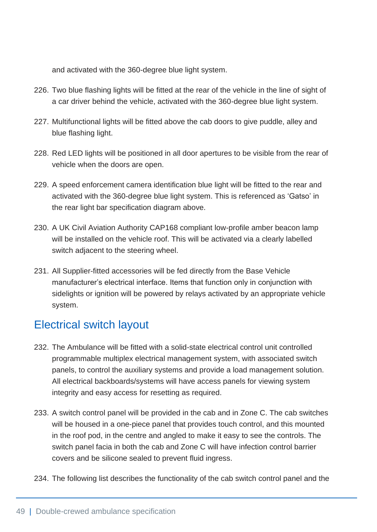and activated with the 360-degree blue light system.

- 226. Two blue flashing lights will be fitted at the rear of the vehicle in the line of sight of a car driver behind the vehicle, activated with the 360-degree blue light system.
- 227. Multifunctional lights will be fitted above the cab doors to give puddle, alley and blue flashing light.
- 228. Red LED lights will be positioned in all door apertures to be visible from the rear of vehicle when the doors are open.
- 229. A speed enforcement camera identification blue light will be fitted to the rear and activated with the 360-degree blue light system. This is referenced as 'Gatso' in the rear light bar specification diagram above.
- 230. A UK Civil Aviation Authority CAP168 compliant low-profile amber beacon lamp will be installed on the vehicle roof. This will be activated via a clearly labelled switch adjacent to the steering wheel.
- 231. All Supplier-fitted accessories will be fed directly from the Base Vehicle manufacturer's electrical interface. Items that function only in conjunction with sidelights or ignition will be powered by relays activated by an appropriate vehicle system.

## Electrical switch layout

- 232. The Ambulance will be fitted with a solid-state electrical control unit controlled programmable multiplex electrical management system, with associated switch panels, to control the auxiliary systems and provide a load management solution. All electrical backboards/systems will have access panels for viewing system integrity and easy access for resetting as required.
- 233. A switch control panel will be provided in the cab and in Zone C. The cab switches will be housed in a one-piece panel that provides touch control, and this mounted in the roof pod, in the centre and angled to make it easy to see the controls. The switch panel facia in both the cab and Zone C will have infection control barrier covers and be silicone sealed to prevent fluid ingress.
- 234. The following list describes the functionality of the cab switch control panel and the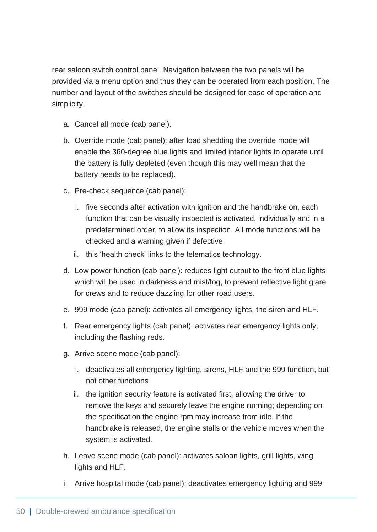rear saloon switch control panel. Navigation between the two panels will be provided via a menu option and thus they can be operated from each position. The number and layout of the switches should be designed for ease of operation and simplicity.

- a. Cancel all mode (cab panel).
- b. Override mode (cab panel): after load shedding the override mode will enable the 360-degree blue lights and limited interior lights to operate until the battery is fully depleted (even though this may well mean that the battery needs to be replaced).
- c. Pre-check sequence (cab panel):
	- i. five seconds after activation with ignition and the handbrake on, each function that can be visually inspected is activated, individually and in a predetermined order, to allow its inspection. All mode functions will be checked and a warning given if defective
	- ii. this 'health check' links to the telematics technology.
- d. Low power function (cab panel): reduces light output to the front blue lights which will be used in darkness and mist/fog, to prevent reflective light glare for crews and to reduce dazzling for other road users.
- e. 999 mode (cab panel): activates all emergency lights, the siren and HLF.
- f. Rear emergency lights (cab panel): activates rear emergency lights only, including the flashing reds.
- g. Arrive scene mode (cab panel):
	- i. deactivates all emergency lighting, sirens, HLF and the 999 function, but not other functions
	- ii. the ignition security feature is activated first, allowing the driver to remove the keys and securely leave the engine running; depending on the specification the engine rpm may increase from idle. If the handbrake is released, the engine stalls or the vehicle moves when the system is activated.
- h. Leave scene mode (cab panel): activates saloon lights, grill lights, wing lights and HLF.
- i. Arrive hospital mode (cab panel): deactivates emergency lighting and 999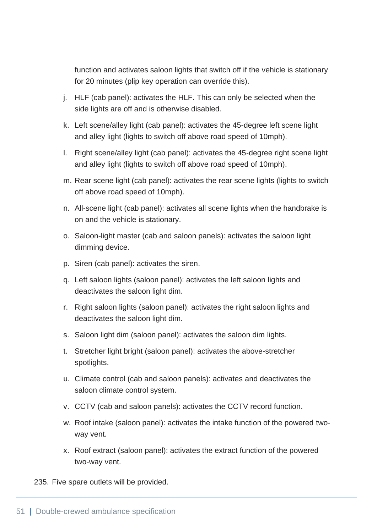function and activates saloon lights that switch off if the vehicle is stationary for 20 minutes (plip key operation can override this).

- j. HLF (cab panel): activates the HLF. This can only be selected when the side lights are off and is otherwise disabled.
- k. Left scene/alley light (cab panel): activates the 45-degree left scene light and alley light (lights to switch off above road speed of 10mph).
- l. Right scene/alley light (cab panel): activates the 45-degree right scene light and alley light (lights to switch off above road speed of 10mph).
- m. Rear scene light (cab panel): activates the rear scene lights (lights to switch off above road speed of 10mph).
- n. All-scene light (cab panel): activates all scene lights when the handbrake is on and the vehicle is stationary.
- o. Saloon-light master (cab and saloon panels): activates the saloon light dimming device.
- p. Siren (cab panel): activates the siren.
- q. Left saloon lights (saloon panel): activates the left saloon lights and deactivates the saloon light dim.
- r. Right saloon lights (saloon panel): activates the right saloon lights and deactivates the saloon light dim.
- s. Saloon light dim (saloon panel): activates the saloon dim lights.
- t. Stretcher light bright (saloon panel): activates the above-stretcher spotlights.
- u. Climate control (cab and saloon panels): activates and deactivates the saloon climate control system.
- v. CCTV (cab and saloon panels): activates the CCTV record function.
- w. Roof intake (saloon panel): activates the intake function of the powered twoway vent.
- x. Roof extract (saloon panel): activates the extract function of the powered two-way vent.

235. Five spare outlets will be provided.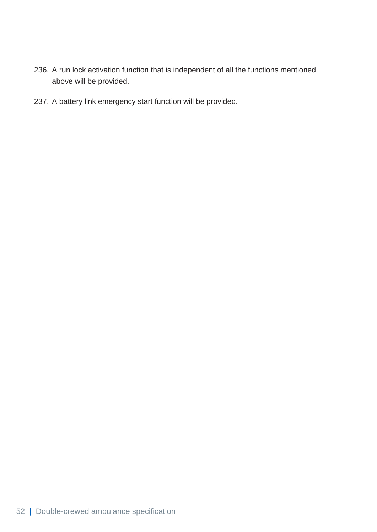- 236. A run lock activation function that is independent of all the functions mentioned above will be provided.
- 237. A battery link emergency start function will be provided.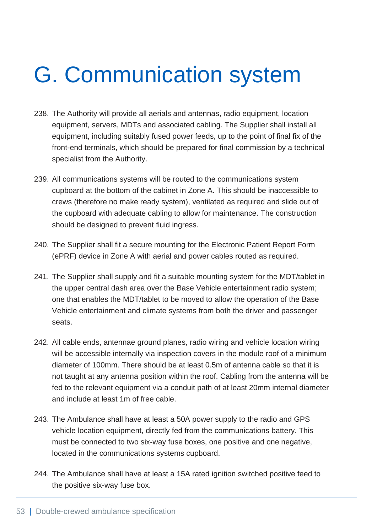# G. Communication system

- 238. The Authority will provide all aerials and antennas, radio equipment, location equipment, servers, MDTs and associated cabling. The Supplier shall install all equipment, including suitably fused power feeds, up to the point of final fix of the front-end terminals, which should be prepared for final commission by a technical specialist from the Authority.
- 239. All communications systems will be routed to the communications system cupboard at the bottom of the cabinet in Zone A. This should be inaccessible to crews (therefore no make ready system), ventilated as required and slide out of the cupboard with adequate cabling to allow for maintenance. The construction should be designed to prevent fluid ingress.
- 240. The Supplier shall fit a secure mounting for the Electronic Patient Report Form (ePRF) device in Zone A with aerial and power cables routed as required.
- 241. The Supplier shall supply and fit a suitable mounting system for the MDT/tablet in the upper central dash area over the Base Vehicle entertainment radio system; one that enables the MDT/tablet to be moved to allow the operation of the Base Vehicle entertainment and climate systems from both the driver and passenger seats.
- 242. All cable ends, antennae ground planes, radio wiring and vehicle location wiring will be accessible internally via inspection covers in the module roof of a minimum diameter of 100mm. There should be at least 0.5m of antenna cable so that it is not taught at any antenna position within the roof. Cabling from the antenna will be fed to the relevant equipment via a conduit path of at least 20mm internal diameter and include at least 1m of free cable.
- 243. The Ambulance shall have at least a 50A power supply to the radio and GPS vehicle location equipment, directly fed from the communications battery. This must be connected to two six-way fuse boxes, one positive and one negative, located in the communications systems cupboard.
- 244. The Ambulance shall have at least a 15A rated ignition switched positive feed to the positive six-way fuse box.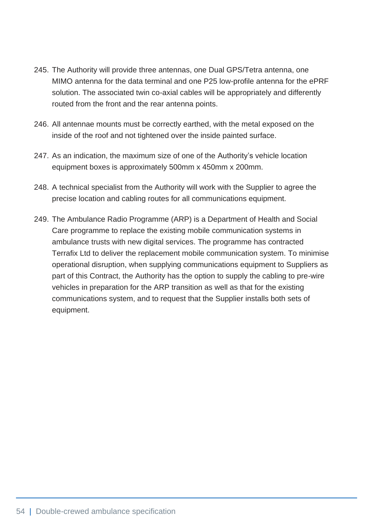- 245. The Authority will provide three antennas, one Dual GPS/Tetra antenna, one MIMO antenna for the data terminal and one P25 low-profile antenna for the ePRF solution. The associated twin co-axial cables will be appropriately and differently routed from the front and the rear antenna points.
- 246. All antennae mounts must be correctly earthed, with the metal exposed on the inside of the roof and not tightened over the inside painted surface.
- 247. As an indication, the maximum size of one of the Authority's vehicle location equipment boxes is approximately 500mm x 450mm x 200mm.
- 248. A technical specialist from the Authority will work with the Supplier to agree the precise location and cabling routes for all communications equipment.
- 249. The Ambulance Radio Programme (ARP) is a Department of Health and Social Care programme to replace the existing mobile communication systems in ambulance trusts with new digital services. The programme has contracted Terrafix Ltd to deliver the replacement mobile communication system. To minimise operational disruption, when supplying communications equipment to Suppliers as part of this Contract, the Authority has the option to supply the cabling to pre-wire vehicles in preparation for the ARP transition as well as that for the existing communications system, and to request that the Supplier installs both sets of equipment.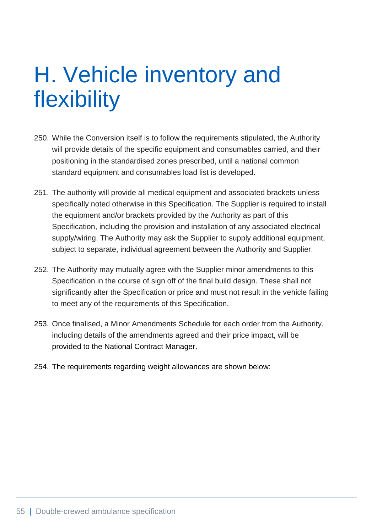# H. Vehicle inventory and flexibility

- 250. While the Conversion itself is to follow the requirements stipulated, the Authority will provide details of the specific equipment and consumables carried, and their positioning in the standardised zones prescribed, until a national common standard equipment and consumables load list is developed.
- 251. The authority will provide all medical equipment and associated brackets unless specifically noted otherwise in this Specification. The Supplier is required to install the equipment and/or brackets provided by the Authority as part of this Specification, including the provision and installation of any associated electrical supply/wiring. The Authority may ask the Supplier to supply additional equipment, subject to separate, individual agreement between the Authority and Supplier.
- 252. The Authority may mutually agree with the Supplier minor amendments to this Specification in the course of sign off of the final build design. These shall not significantly alter the Specification or price and must not result in the vehicle failing to meet any of the requirements of this Specification.
- 253. Once finalised, a Minor Amendments Schedule for each order from the Authority, including details of the amendments agreed and their price impact, will be provided to the National Contract Manager.
- 254. The requirements regarding weight allowances are shown below: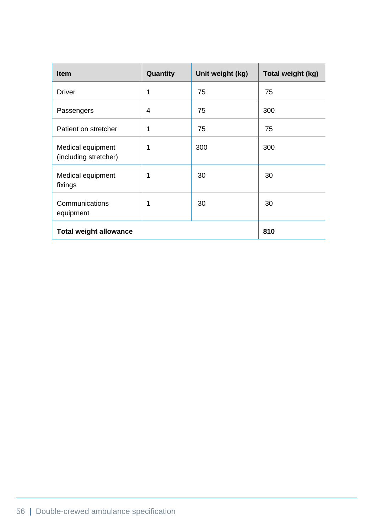| <b>Item</b>                                | Quantity    | Unit weight (kg) | Total weight (kg) |
|--------------------------------------------|-------------|------------------|-------------------|
| <b>Driver</b>                              | 1           | 75               | 75                |
| Passengers                                 | 4           | 75               | 300               |
| Patient on stretcher                       | $\mathbf 1$ | 75               | 75                |
| Medical equipment<br>(including stretcher) | $\mathbf 1$ | 300              | 300               |
| Medical equipment<br>fixings               | 1           | 30               | 30                |
| Communications<br>equipment                | 1           | 30               | 30                |
| <b>Total weight allowance</b>              |             | 810              |                   |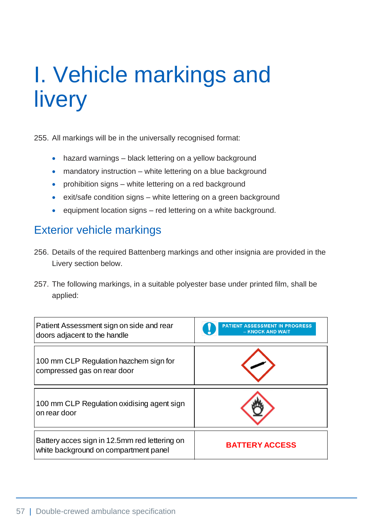# I. Vehicle markings and livery

255. All markings will be in the universally recognised format:

- hazard warnings black lettering on a yellow background
- mandatory instruction white lettering on a blue background
- prohibition signs white lettering on a red background
- exit/safe condition signs white lettering on a green background
- equipment location signs red lettering on a white background.

## Exterior vehicle markings

- 256. Details of the required Battenberg markings and other insignia are provided in the Livery section below.
- 257. The following markings, in a suitable polyester base under printed film, shall be applied:

| Patient Assessment sign on side and rear<br>doors adjacent to the handle               | <b>PATIENT ASSESSMENT IN PROGRESS</b><br>- KNOCK AND WAIT |
|----------------------------------------------------------------------------------------|-----------------------------------------------------------|
| 100 mm CLP Regulation hazchem sign for<br>compressed gas on rear door                  |                                                           |
| 100 mm CLP Regulation oxidising agent sign<br>on rear door                             |                                                           |
| Battery acces sign in 12.5mm red lettering on<br>white background on compartment panel | <b>BATTERY ACCESS</b>                                     |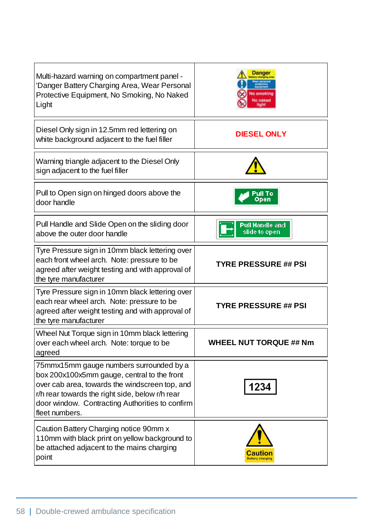| Multi-hazard warning on compartment panel -<br>'Danger Battery Charging Area, Wear Personal<br>Protective Equipment, No Smoking, No Naked<br>Light                                                                                                               | le smoking<br>No naked                  |
|------------------------------------------------------------------------------------------------------------------------------------------------------------------------------------------------------------------------------------------------------------------|-----------------------------------------|
| Diesel Only sign in 12.5mm red lettering on<br>white background adjacent to the fuel filler                                                                                                                                                                      | <b>DIESEL ONLY</b>                      |
| Warning triangle adjacent to the Diesel Only<br>sign adjacent to the fuel filler                                                                                                                                                                                 |                                         |
| Pull to Open sign on hinged doors above the<br>door handle                                                                                                                                                                                                       | Pull To<br>Open                         |
| Pull Handle and Slide Open on the sliding door<br>above the outer door handle                                                                                                                                                                                    | <b>Pull Handle and</b><br>slide to open |
| Tyre Pressure sign in 10mm black lettering over<br>each front wheel arch. Note: pressure to be<br>agreed after weight testing and with approval of<br>the tyre manufacturer                                                                                      | <b>TYRE PRESSURE ## PSI</b>             |
| Tyre Pressure sign in 10mm black lettering over<br>each rear wheel arch. Note: pressure to be<br>agreed after weight testing and with approval of<br>the tyre manufacturer                                                                                       | <b>TYRE PRESSURE ## PSI</b>             |
| Wheel Nut Torque sign in 10mm black lettering<br>over each wheel arch. Note: torque to be<br>agreed                                                                                                                                                              | <b>WHEEL NUT TORQUE ## Nm</b>           |
| 75mmx15mm gauge numbers surrounded by a<br>box 200x100x5mm gauge, central to the front<br>over cab area, towards the windscreen top, and<br>r/h rear towards the right side, below r/h rear<br>door window. Contracting Authorities to confirm<br>fleet numbers. | 1234                                    |
| Caution Battery Charging notice 90mm x<br>110mm with black print on yellow background to<br>be attached adjacent to the mains charging<br>point                                                                                                                  | <b>lattery charging</b>                 |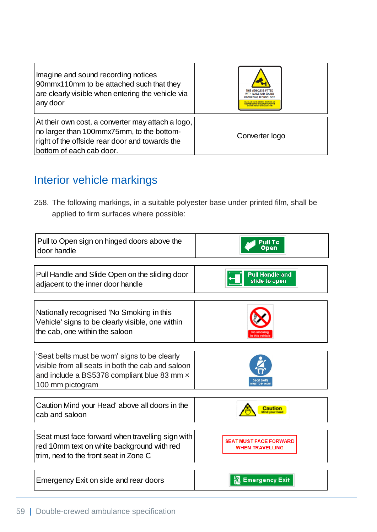| Imagine and sound recording notices<br>90mmx110mm to be attached such that they<br>are clearly visible when entering the vehicle via<br>any door                             | THIS VEHICLE IS FITTED<br><b>WITH IMAGE AND SOUND</b><br><b>RECORDING TECHNOLOGY</b> |
|------------------------------------------------------------------------------------------------------------------------------------------------------------------------------|--------------------------------------------------------------------------------------|
| At their own cost, a converter may attach a logo,<br>no larger than 100mmx75mm, to the bottom-<br>right of the offside rear door and towards the<br>bottom of each cab door. | Converter logo                                                                       |

# Interior vehicle markings

258. The following markings, in a suitable polyester base under printed film, shall be applied to firm surfaces where possible:

| Pull to Open sign on hinged doors above the<br>door handle                                                                                                            | open                                                    |
|-----------------------------------------------------------------------------------------------------------------------------------------------------------------------|---------------------------------------------------------|
|                                                                                                                                                                       |                                                         |
| Pull Handle and Slide Open on the sliding door<br>adjacent to the inner door handle                                                                                   | <b>Pull Handle and</b><br>slide to open                 |
| Nationally recognised 'No Smoking in this<br>Vehicle' signs to be clearly visible, one within<br>the cab, one within the saloon                                       |                                                         |
| 'Seat belts must be worn' signs to be clearly<br>visible from all seats in both the cab and saloon<br>and include a BS5378 compliant blue 83 mm x<br>100 mm pictogram |                                                         |
| Caution Mind your Head' above all doors in the<br>cab and saloon                                                                                                      |                                                         |
| Seat must face forward when travelling sign with<br>red 10mm text on white background with red<br>trim, next to the front seat in Zone C                              | <b>SEAT MUST FACE FORWARD</b><br><b>WHEN TRAVELLING</b> |
| Emergency Exit on side and rear doors                                                                                                                                 | <b>Emergency Exit</b>                                   |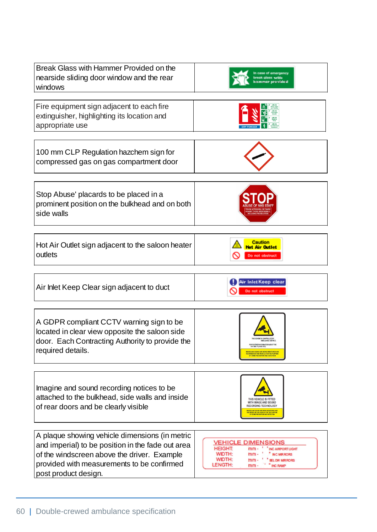| Break Glass with Hammer Provided on the<br>nearside sliding door window and the rear<br>windows                                                                                                                          |                                                                                                                                                                                                                     |
|--------------------------------------------------------------------------------------------------------------------------------------------------------------------------------------------------------------------------|---------------------------------------------------------------------------------------------------------------------------------------------------------------------------------------------------------------------|
| Fire equipment sign adjacent to each fire<br>extinguisher, highlighting its location and<br>appropriate use                                                                                                              |                                                                                                                                                                                                                     |
| 100 mm CLP Regulation hazchem sign for<br>compressed gas on gas compartment door                                                                                                                                         |                                                                                                                                                                                                                     |
| Stop Abuse' placards to be placed in a<br>prominent position on the bulkhead and on both<br>side walls                                                                                                                   |                                                                                                                                                                                                                     |
| Hot Air Outlet sign adjacent to the saloon heater<br>outlets                                                                                                                                                             | <b>Caution</b><br>tot Air Outlet<br>Do not obstruct                                                                                                                                                                 |
| Air Inlet Keep Clear sign adjacent to duct                                                                                                                                                                               | Air Inlet Keep clear<br>Do not obstruct                                                                                                                                                                             |
| A GDPR compliant CCTV warning sign to be<br>located in clear view opposite the saloon side<br>door. Each Contracting Authority to provide the<br>required details.                                                       | <b>SCHINE PLEASE CALL</b><br><b>MAGES AND SOUND ARE RENG MONITOREDAN</b><br>RECORDED ON THIS VEHICLE FOR THE PURPOS<br>OF CRIME PREVENTION AND DETECTION                                                            |
| Imagine and sound recording notices to be<br>attached to the bulkhead, side walls and inside<br>of rear doors and be clearly visible                                                                                     | THIS VEHICLE IS FITTED<br><b>WITH IMAGE AND SOUND</b><br><b>RECORDING TECHNOLOGY</b><br><b>MAGES AND SOUND ARE BEING MONITORED AN</b><br>RECORDED ON THIS VEHICLE FOR THE PURPOSE OF CRIME PREVENTION AND DETECTION |
| A plaque showing vehicle dimensions (in metric<br>and imperial) to be position in the fade out area<br>of the windscreen above the driver. Example<br>provided with measurements to be confirmed<br>post product design. | <b>VEHICLE DIMENSIONS</b><br><b>HEIGHT:</b><br><b>INC AIRPORT LIGHT</b><br>$mm -$<br>WIDTH:<br>$mm -$<br>NC MIRRORS<br>WIDTH:<br>$mm -$<br><b>ELOW MRRORS</b><br>LENGTH:<br>$mm -$<br>" INC RAMP                    |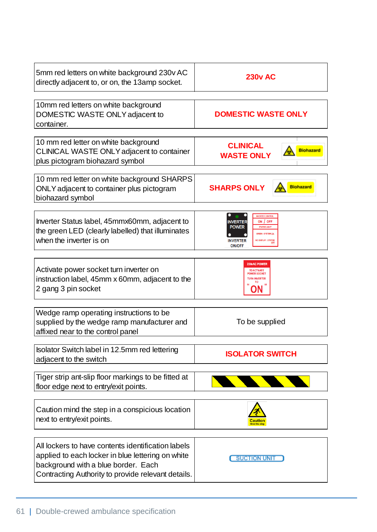| 5mm red letters on white background 230v AC<br>directly adjacent to, or on, the 13amp socket.                                                                                                        | <b>230v AC</b>                                                                                                                                               |
|------------------------------------------------------------------------------------------------------------------------------------------------------------------------------------------------------|--------------------------------------------------------------------------------------------------------------------------------------------------------------|
| 10mm red letters on white background<br>DOMESTIC WASTE ONLY adjacent to<br>container.                                                                                                                | <b>DOMESTIC WASTE ONLY</b>                                                                                                                                   |
| 10 mm red letter on white background<br>CLINICAL WASTE ONLY adjacent to container<br>plus pictogram biohazard symbol                                                                                 | <b>CLINICAL</b><br><b>Biohazard</b><br><b>WASTE ONLY</b>                                                                                                     |
| 10 mm red letter on white background SHARPS<br>ONLY adjacent to container plus pictogram<br>biohazard symbol                                                                                         | <b>Biohazard</b><br><b>SHARPS ONLY</b>                                                                                                                       |
| Inverter Status label, 45mmx60mm, adjacent to<br>the green LED (clearly labelled) that illuminates<br>when the inverter is on                                                                        | <b>INVERTER CONTROL</b><br>ON / OFF<br>NVERTEF<br>POWER<br><b>STATUS LIGH</b><br>GREEN : SYSTEM ON<br>NO DISPLAY : SYSTEM<br><b>NVERTER</b><br><b>ON/OFF</b> |
| Activate power socket turn inverter on<br>instruction label, 45mm x 60mm, adjacent to the<br>2 gang 3 pin socket                                                                                     | 230vAC POWER<br><b>TO ACTIVATE</b><br>WER SOCKE                                                                                                              |
| Wedge ramp operating instructions to be<br>supplied by the wedge ramp manufacturer and<br>affixed near to the control panel                                                                          | To be supplied                                                                                                                                               |
| Isolator Switch label in 12.5mm red lettering<br>adjacent to the switch                                                                                                                              | <b>ISOLATOR SWITCH</b>                                                                                                                                       |
| Tiger strip ant-slip floor markings to be fitted at<br>floor edge next to entry/exit points.                                                                                                         |                                                                                                                                                              |
| Caution mind the step in a conspicious location<br>next to entry/exit points.                                                                                                                        |                                                                                                                                                              |
| All lockers to have contents identification labels<br>applied to each locker in blue lettering on white<br>background with a blue border. Each<br>Contracting Authority to provide relevant details. | <b>SUCTION UNIT</b>                                                                                                                                          |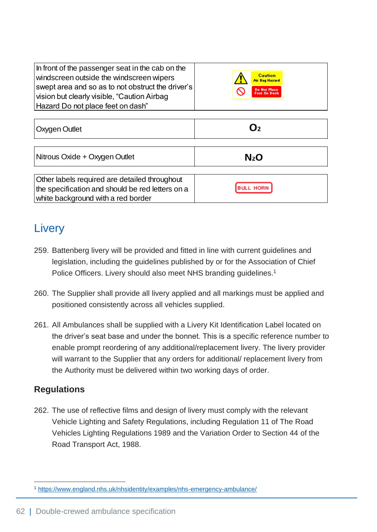| In front of the passenger seat in the cab on the<br>windscreen outside the windscreen wipers<br>swept area and so as to not obstruct the driver's<br>vision but clearly visible, "Caution Airbag<br>Hazard Do not place feet on dash"                                                                                                                                                                                             | <b>Caution</b><br>Air Bag Hazard<br>Do Not Place<br>Feet On Dash |  |
|-----------------------------------------------------------------------------------------------------------------------------------------------------------------------------------------------------------------------------------------------------------------------------------------------------------------------------------------------------------------------------------------------------------------------------------|------------------------------------------------------------------|--|
| <b>Oxygen Outlet</b>                                                                                                                                                                                                                                                                                                                                                                                                              | $\mathbf{O}_2$                                                   |  |
| Nitrous Oxide + Oxygen Outlet                                                                                                                                                                                                                                                                                                                                                                                                     | N <sub>2</sub> O                                                 |  |
| Other labels required are detailed throughout<br>the specification and should be red letters on a<br>white background with a red border                                                                                                                                                                                                                                                                                           | <b>BULL HORM</b>                                                 |  |
| Livery                                                                                                                                                                                                                                                                                                                                                                                                                            |                                                                  |  |
| 259. Battenberg livery will be provided and fitted in line with current guidelines and<br>legislation, including the guidelines published by or for the Association of Chief<br>Police Officers. Livery should also meet NHS branding guidelines. <sup>1</sup>                                                                                                                                                                    |                                                                  |  |
| 260. The Supplier shall provide all livery applied and all markings must be applied and<br>positioned consistently across all vehicles supplied.                                                                                                                                                                                                                                                                                  |                                                                  |  |
| 261. All Ambulances shall be supplied with a Livery Kit Identification Label located on<br>the driver's seat base and under the bonnet. This is a specific reference number to<br>enable prompt reordering of any additional/replacement livery. The livery provider<br>will warrant to the Supplier that any orders for additional/ replacement livery from<br>the Authority must be delivered within two working days of order. |                                                                  |  |
| <b>Regulations</b>                                                                                                                                                                                                                                                                                                                                                                                                                |                                                                  |  |
| 262. The use of reflective films and design of livery must comply with the relevant<br>Vehicle Lighting and Safety Regulations, including Regulation 11 of The Road<br>Vehicles Lighting Regulations 1989 and the Variation Order to Section 44 of the<br>Road Transport Act, 1988.                                                                                                                                               |                                                                  |  |
| 1 https://www.england.nhs.uk/nhsidentity/examples/nhs-emergency-ambulance/                                                                                                                                                                                                                                                                                                                                                        |                                                                  |  |

## **Livery**

- 259. Battenberg livery will be provided and fitted in line with current guidelines and legislation, including the guidelines published by or for the Association of Chief Police Officers. Livery should also meet NHS branding guidelines.<sup>1</sup>
- 260. The Supplier shall provide all livery applied and all markings must be applied and positioned consistently across all vehicles supplied.
- 261. All Ambulances shall be supplied with a Livery Kit Identification Label located on the driver's seat base and under the bonnet. This is a specific reference number to enable prompt reordering of any additional/replacement livery. The livery provider will warrant to the Supplier that any orders for additional/ replacement livery from the Authority must be delivered within two working days of order.

### **Regulations**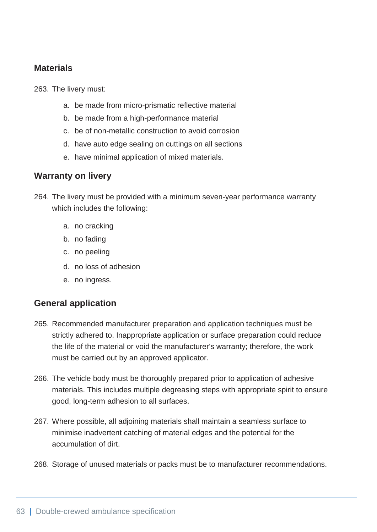### **Materials**

263. The livery must:

- a. be made from micro-prismatic reflective material
- b. be made from a high-performance material
- c. be of non-metallic construction to avoid corrosion
- d. have auto edge sealing on cuttings on all sections
- e. have minimal application of mixed materials.

### **Warranty on livery**

264. The livery must be provided with a minimum seven-year performance warranty which includes the following:

- a. no cracking
- b. no fading
- c. no peeling
- d. no loss of adhesion
- e. no ingress.

#### **General application**

- 265. Recommended manufacturer preparation and application techniques must be strictly adhered to. Inappropriate application or surface preparation could reduce the life of the material or void the manufacturer's warranty; therefore, the work must be carried out by an approved applicator.
- 266. The vehicle body must be thoroughly prepared prior to application of adhesive materials. This includes multiple degreasing steps with appropriate spirit to ensure good, long-term adhesion to all surfaces.
- 267. Where possible, all adjoining materials shall maintain a seamless surface to minimise inadvertent catching of material edges and the potential for the accumulation of dirt.
- 268. Storage of unused materials or packs must be to manufacturer recommendations.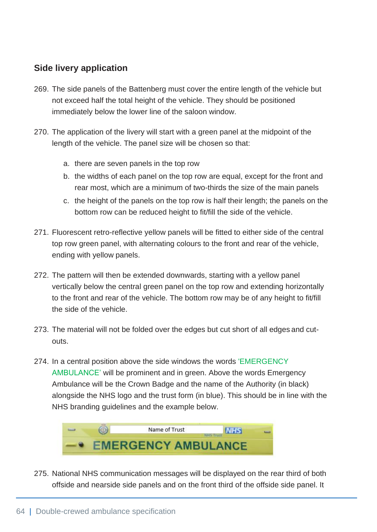### **Side livery application**

- 269. The side panels of the Battenberg must cover the entire length of the vehicle but not exceed half the total height of the vehicle. They should be positioned immediately below the lower line of the saloon window.
- 270. The application of the livery will start with a green panel at the midpoint of the length of the vehicle. The panel size will be chosen so that:
	- a. there are seven panels in the top row
	- b. the widths of each panel on the top row are equal, except for the front and rear most, which are a minimum of two-thirds the size of the main panels
	- c. the height of the panels on the top row is half their length; the panels on the bottom row can be reduced height to fit/fill the side of the vehicle.
- 271. Fluorescent retro-reflective yellow panels will be fitted to either side of the central top row green panel, with alternating colours to the front and rear of the vehicle, ending with yellow panels.
- 272. The pattern will then be extended downwards, starting with a yellow panel vertically below the central green panel on the top row and extending horizontally to the front and rear of the vehicle. The bottom row may be of any height to fit/fill the side of the vehicle.
- 273. The material will not be folded over the edges but cut short of all edges and cutouts.
- 274. In a central position above the side windows the words 'EMERGENCY AMBULANCE' will be prominent and in green. Above the words Emergency Ambulance will be the Crown Badge and the name of the Authority (in black) alongside the NHS logo and the trust form (in blue). This should be in line with the NHS branding guidelines and the example below.



275. National NHS communication messages will be displayed on the rear third of both offside and nearside side panels and on the front third of the offside side panel. It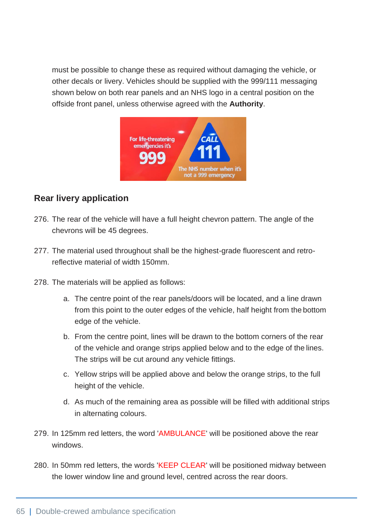must be possible to change these as required without damaging the vehicle, or other decals or livery. Vehicles should be supplied with the 999/111 messaging shown below on both rear panels and an NHS logo in a central position on the offside front panel, unless otherwise agreed with the **Authority**.



### **Rear livery application**

- 276. The rear of the vehicle will have a full height chevron pattern. The angle of the chevrons will be 45 degrees.
- 277. The material used throughout shall be the highest-grade fluorescent and retroreflective material of width 150mm.
- 278. The materials will be applied as follows:
	- a. The centre point of the rear panels/doors will be located, and a line drawn from this point to the outer edges of the vehicle, half height from the bottom edge of the vehicle.
	- b. From the centre point, lines will be drawn to the bottom corners of the rear of the vehicle and orange strips applied below and to the edge of the lines. The strips will be cut around any vehicle fittings.
	- c. Yellow strips will be applied above and below the orange strips, to the full height of the vehicle.
	- d. As much of the remaining area as possible will be filled with additional strips in alternating colours.
- 279. In 125mm red letters, the word 'AMBULANCE' will be positioned above the rear windows.
- 280. In 50mm red letters, the words 'KEEP CLEAR' will be positioned midway between the lower window line and ground level, centred across the rear doors.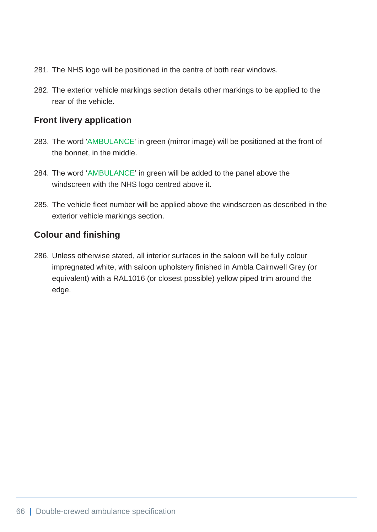- 281. The NHS logo will be positioned in the centre of both rear windows.
- 282. The exterior vehicle markings section details other markings to be applied to the rear of the vehicle.

#### **Front livery application**

- 283. The word 'AMBULANCE' in green (mirror image) will be positioned at the front of the bonnet, in the middle.
- 284. The word 'AMBULANCE' in green will be added to the panel above the windscreen with the NHS logo centred above it.
- 285. The vehicle fleet number will be applied above the windscreen as described in the exterior vehicle markings section.

#### **Colour and finishing**

286. Unless otherwise stated, all interior surfaces in the saloon will be fully colour impregnated white, with saloon upholstery finished in Ambla Cairnwell Grey (or equivalent) with a RAL1016 (or closest possible) yellow piped trim around the edge.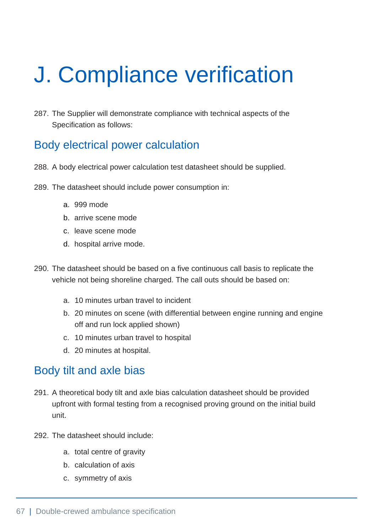# J. Compliance verification

287. The Supplier will demonstrate compliance with technical aspects of the Specification as follows:

## Body electrical power calculation

- 288. A body electrical power calculation test datasheet should be supplied.
- 289. The datasheet should include power consumption in:
	- a. 999 mode
	- b. arrive scene mode
	- c. leave scene mode
	- d. hospital arrive mode.
- 290. The datasheet should be based on a five continuous call basis to replicate the vehicle not being shoreline charged. The call outs should be based on:
	- a. 10 minutes urban travel to incident
	- b. 20 minutes on scene (with differential between engine running and engine off and run lock applied shown)
	- c. 10 minutes urban travel to hospital
	- d. 20 minutes at hospital.

## Body tilt and axle bias

- 291. A theoretical body tilt and axle bias calculation datasheet should be provided upfront with formal testing from a recognised proving ground on the initial build unit.
- 292. The datasheet should include:
	- a. total centre of gravity
	- b. calculation of axis
	- c. symmetry of axis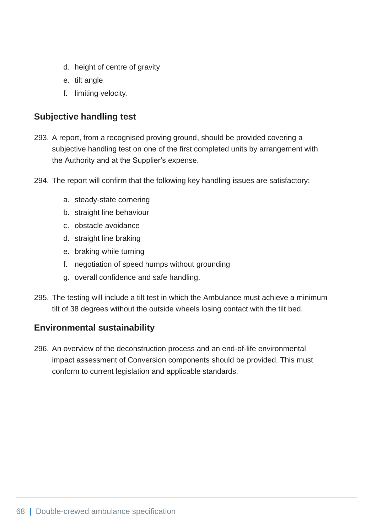- d. height of centre of gravity
- e. tilt angle
- f. limiting velocity.

### **Subjective handling test**

- 293. A report, from a recognised proving ground, should be provided covering a subjective handling test on one of the first completed units by arrangement with the Authority and at the Supplier's expense.
- 294. The report will confirm that the following key handling issues are satisfactory:
	- a. steady-state cornering
	- b. straight line behaviour
	- c. obstacle avoidance
	- d. straight line braking
	- e. braking while turning
	- f. negotiation of speed humps without grounding
	- g. overall confidence and safe handling.
- 295. The testing will include a tilt test in which the Ambulance must achieve a minimum tilt of 38 degrees without the outside wheels losing contact with the tilt bed.

### **Environmental sustainability**

296. An overview of the deconstruction process and an end-of-life environmental impact assessment of Conversion components should be provided. This must conform to current legislation and applicable standards.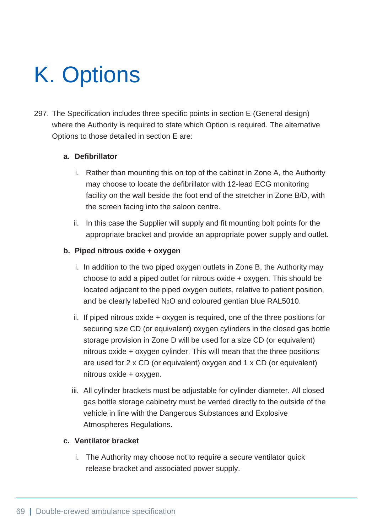# K. Options

297. The Specification includes three specific points in section E (General design) where the Authority is required to state which Option is required. The alternative Options to those detailed in section E are:

#### **a. Defibrillator**

- i. Rather than mounting this on top of the cabinet in Zone A, the Authority may choose to locate the defibrillator with 12-lead ECG monitoring facility on the wall beside the foot end of the stretcher in Zone B/D, with the screen facing into the saloon centre.
- ii. In this case the Supplier will supply and fit mounting bolt points for the appropriate bracket and provide an appropriate power supply and outlet.

#### **b. Piped nitrous oxide + oxygen**

- i. In addition to the two piped oxygen outlets in Zone B, the Authority may choose to add a piped outlet for nitrous oxide + oxygen. This should be located adjacent to the piped oxygen outlets, relative to patient position, and be clearly labelled N2O and coloured gentian blue RAL5010.
- ii. If piped nitrous oxide + oxygen is required, one of the three positions for securing size CD (or equivalent) oxygen cylinders in the closed gas bottle storage provision in Zone D will be used for a size CD (or equivalent) nitrous oxide + oxygen cylinder. This will mean that the three positions are used for 2 x CD (or equivalent) oxygen and 1 x CD (or equivalent) nitrous oxide + oxygen.
- iii. All cylinder brackets must be adjustable for cylinder diameter. All closed gas bottle storage cabinetry must be vented directly to the outside of the vehicle in line with the Dangerous Substances and Explosive Atmospheres Regulations.

#### **c. Ventilator bracket**

i. The Authority may choose not to require a secure ventilator quick release bracket and associated power supply.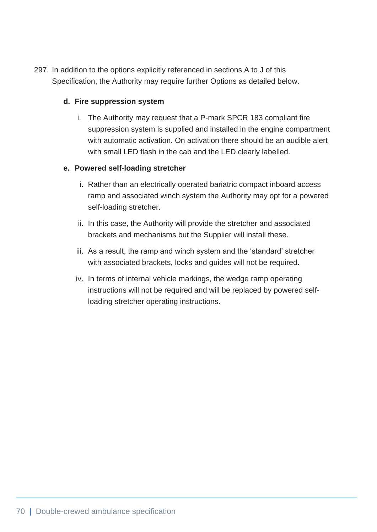297. In addition to the options explicitly referenced in sections A to J of this Specification, the Authority may require further Options as detailed below.

#### **d. Fire suppression system**

i. The Authority may request that a P-mark SPCR 183 compliant fire suppression system is supplied and installed in the engine compartment with automatic activation. On activation there should be an audible alert with small LED flash in the cab and the LED clearly labelled.

#### **e. Powered self-loading stretcher**

- i. Rather than an electrically operated bariatric compact inboard access ramp and associated winch system the Authority may opt for a powered self-loading stretcher.
- ii. In this case, the Authority will provide the stretcher and associated brackets and mechanisms but the Supplier will install these.
- iii. As a result, the ramp and winch system and the 'standard' stretcher with associated brackets, locks and guides will not be required.
- iv. In terms of internal vehicle markings, the wedge ramp operating instructions will not be required and will be replaced by powered selfloading stretcher operating instructions.